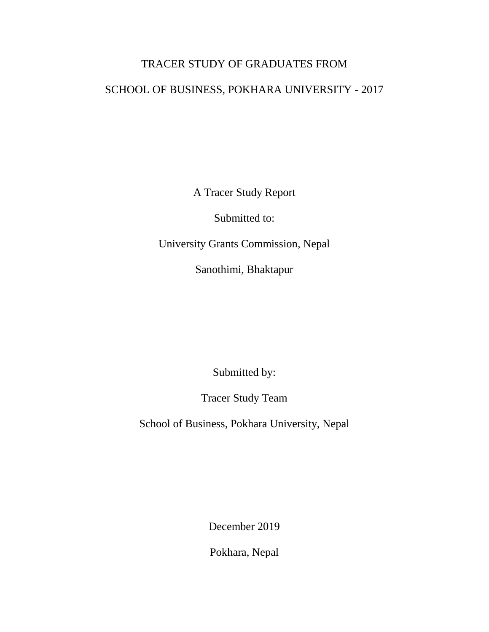# TRACER STUDY OF GRADUATES FROM SCHOOL OF BUSINESS, POKHARA UNIVERSITY - 2017

A Tracer Study Report

Submitted to:

University Grants Commission, Nepal

Sanothimi, Bhaktapur

Submitted by:

Tracer Study Team

School of Business, Pokhara University, Nepal

December 2019

Pokhara, Nepal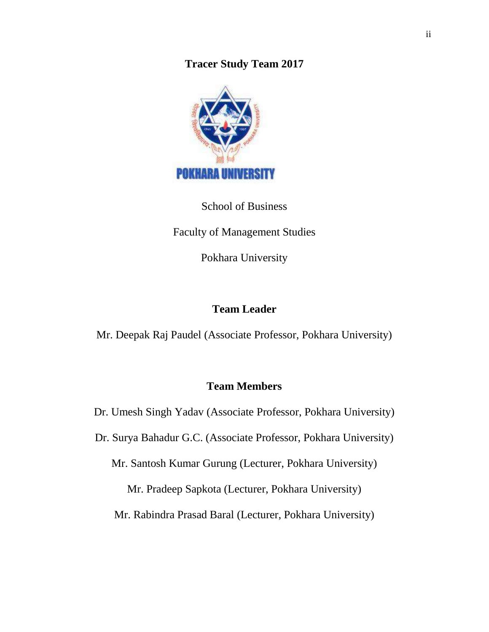**Tracer Study Team 2017**



School of Business Faculty of Management Studies Pokhara University

# **Team Leader**

Mr. Deepak Raj Paudel (Associate Professor, Pokhara University)

# **Team Members**

Dr. Umesh Singh Yadav (Associate Professor, Pokhara University)

Dr. Surya Bahadur G.C. (Associate Professor, Pokhara University)

Mr. Santosh Kumar Gurung (Lecturer, Pokhara University)

Mr. Pradeep Sapkota (Lecturer, Pokhara University)

Mr. Rabindra Prasad Baral (Lecturer, Pokhara University)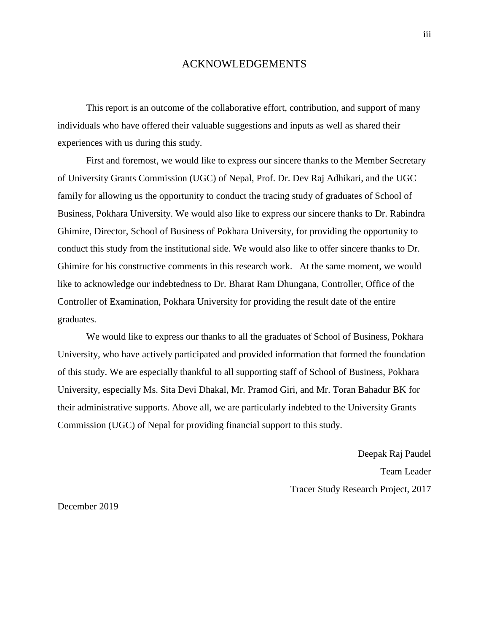### ACKNOWLEDGEMENTS

<span id="page-2-0"></span>This report is an outcome of the collaborative effort, contribution, and support of many individuals who have offered their valuable suggestions and inputs as well as shared their experiences with us during this study.

First and foremost, we would like to express our sincere thanks to the Member Secretary of University Grants Commission (UGC) of Nepal, Prof. Dr. Dev Raj Adhikari, and the UGC family for allowing us the opportunity to conduct the tracing study of graduates of School of Business, Pokhara University. We would also like to express our sincere thanks to Dr. Rabindra Ghimire, Director, School of Business of Pokhara University, for providing the opportunity to conduct this study from the institutional side. We would also like to offer sincere thanks to Dr. Ghimire for his constructive comments in this research work. At the same moment, we would like to acknowledge our indebtedness to Dr. Bharat Ram Dhungana, Controller, Office of the Controller of Examination, Pokhara University for providing the result date of the entire graduates.

We would like to express our thanks to all the graduates of School of Business, Pokhara University, who have actively participated and provided information that formed the foundation of this study. We are especially thankful to all supporting staff of School of Business, Pokhara University, especially Ms. Sita Devi Dhakal, Mr. Pramod Giri, and Mr. Toran Bahadur BK for their administrative supports. Above all, we are particularly indebted to the University Grants Commission (UGC) of Nepal for providing financial support to this study.

> Deepak Raj Paudel Team Leader Tracer Study Research Project, 2017

December 2019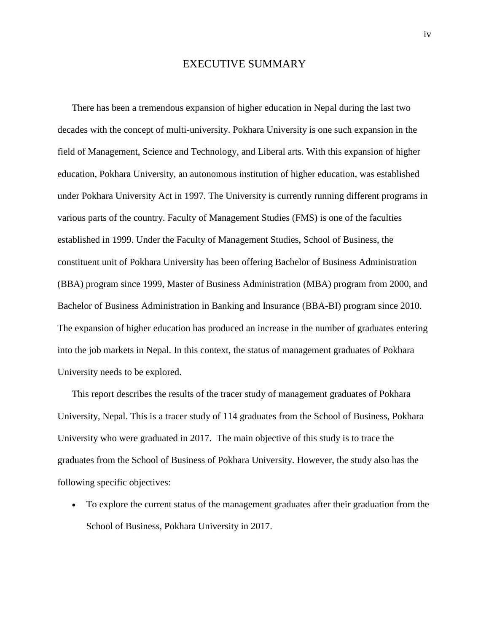### EXECUTIVE SUMMARY

<span id="page-3-0"></span>There has been a tremendous expansion of higher education in Nepal during the last two decades with the concept of multi-university. Pokhara University is one such expansion in the field of Management, Science and Technology, and Liberal arts. With this expansion of higher education, Pokhara University, an autonomous institution of higher education, was established under Pokhara University Act in 1997. The University is currently running different programs in various parts of the country. Faculty of Management Studies (FMS) is one of the faculties established in 1999. Under the Faculty of Management Studies, School of Business, the constituent unit of Pokhara University has been offering Bachelor of Business Administration (BBA) program since 1999, Master of Business Administration (MBA) program from 2000, and Bachelor of Business Administration in Banking and Insurance (BBA-BI) program since 2010. The expansion of higher education has produced an increase in the number of graduates entering into the job markets in Nepal. In this context, the status of management graduates of Pokhara University needs to be explored.

This report describes the results of the tracer study of management graduates of Pokhara University, Nepal. This is a tracer study of 114 graduates from the School of Business, Pokhara University who were graduated in 2017. The main objective of this study is to trace the graduates from the School of Business of Pokhara University. However, the study also has the following specific objectives:

 To explore the current status of the management graduates after their graduation from the School of Business, Pokhara University in 2017.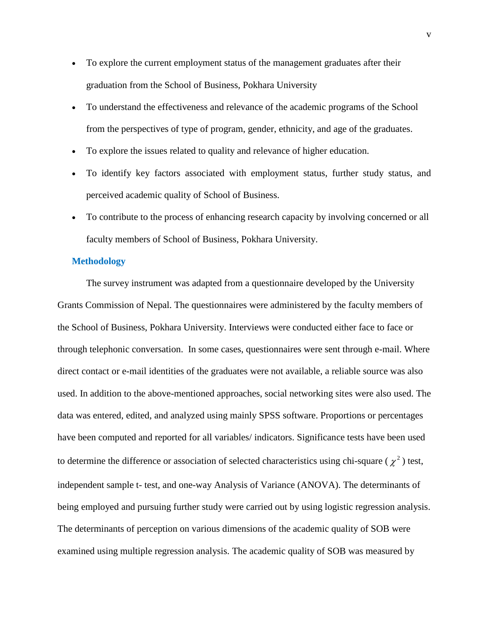- To explore the current employment status of the management graduates after their graduation from the School of Business, Pokhara University
- To understand the effectiveness and relevance of the academic programs of the School from the perspectives of type of program, gender, ethnicity, and age of the graduates.
- To explore the issues related to quality and relevance of higher education.
- To identify key factors associated with employment status, further study status, and perceived academic quality of School of Business.
- To contribute to the process of enhancing research capacity by involving concerned or all faculty members of School of Business, Pokhara University.

#### **Methodology**

The survey instrument was adapted from a questionnaire developed by the University Grants Commission of Nepal. The questionnaires were administered by the faculty members of the School of Business, Pokhara University. Interviews were conducted either face to face or through telephonic conversation. In some cases, questionnaires were sent through e-mail. Where direct contact or e-mail identities of the graduates were not available, a reliable source was also used. In addition to the above-mentioned approaches, social networking sites were also used. The data was entered, edited, and analyzed using mainly SPSS software. Proportions or percentages have been computed and reported for all variables/ indicators. Significance tests have been used to determine the difference or association of selected characteristics using chi-square ( $\chi^2$ ) test, independent sample t- test, and one-way Analysis of Variance (ANOVA). The determinants of being employed and pursuing further study were carried out by using logistic regression analysis. The determinants of perception on various dimensions of the academic quality of SOB were examined using multiple regression analysis. The academic quality of SOB was measured by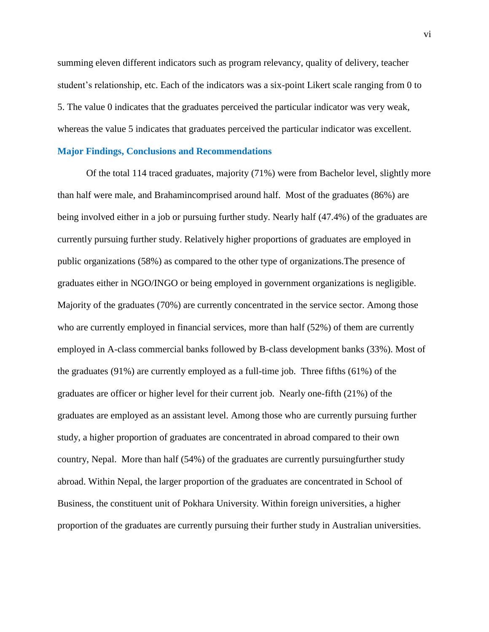summing eleven different indicators such as program relevancy, quality of delivery, teacher student's relationship, etc. Each of the indicators was a six-point Likert scale ranging from 0 to 5. The value 0 indicates that the graduates perceived the particular indicator was very weak, whereas the value 5 indicates that graduates perceived the particular indicator was excellent.

#### **Major Findings, Conclusions and Recommendations**

Of the total 114 traced graduates, majority (71%) were from Bachelor level, slightly more than half were male, and Brahamincomprised around half. Most of the graduates (86%) are being involved either in a job or pursuing further study. Nearly half (47.4%) of the graduates are currently pursuing further study. Relatively higher proportions of graduates are employed in public organizations (58%) as compared to the other type of organizations.The presence of graduates either in NGO/INGO or being employed in government organizations is negligible. Majority of the graduates (70%) are currently concentrated in the service sector. Among those who are currently employed in financial services, more than half (52%) of them are currently employed in A-class commercial banks followed by B-class development banks (33%). Most of the graduates (91%) are currently employed as a full-time job. Three fifths (61%) of the graduates are officer or higher level for their current job. Nearly one-fifth (21%) of the graduates are employed as an assistant level. Among those who are currently pursuing further study, a higher proportion of graduates are concentrated in abroad compared to their own country, Nepal. More than half (54%) of the graduates are currently pursuingfurther study abroad. Within Nepal, the larger proportion of the graduates are concentrated in School of Business, the constituent unit of Pokhara University*.* Within foreign universities, a higher proportion of the graduates are currently pursuing their further study in Australian universities.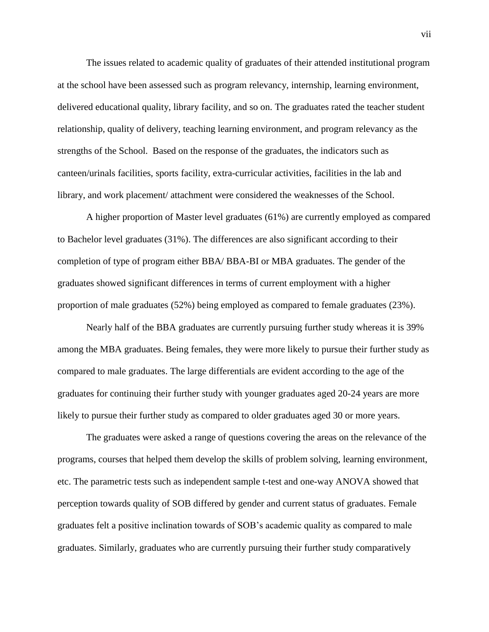The issues related to academic quality of graduates of their attended institutional program at the school have been assessed such as program relevancy, internship, learning environment, delivered educational quality, library facility, and so on. The graduates rated the teacher student relationship, quality of delivery, teaching learning environment, and program relevancy as the strengths of the School. Based on the response of the graduates, the indicators such as canteen/urinals facilities, sports facility, extra-curricular activities, facilities in the lab and library, and work placement/ attachment were considered the weaknesses of the School.

A higher proportion of Master level graduates (61%) are currently employed as compared to Bachelor level graduates (31%). The differences are also significant according to their completion of type of program either BBA/ BBA-BI or MBA graduates. The gender of the graduates showed significant differences in terms of current employment with a higher proportion of male graduates (52%) being employed as compared to female graduates (23%).

Nearly half of the BBA graduates are currently pursuing further study whereas it is 39% among the MBA graduates. Being females, they were more likely to pursue their further study as compared to male graduates. The large differentials are evident according to the age of the graduates for continuing their further study with younger graduates aged 20-24 years are more likely to pursue their further study as compared to older graduates aged 30 or more years.

The graduates were asked a range of questions covering the areas on the relevance of the programs, courses that helped them develop the skills of problem solving, learning environment, etc. The parametric tests such as independent sample t-test and one-way ANOVA showed that perception towards quality of SOB differed by gender and current status of graduates. Female graduates felt a positive inclination towards of SOB's academic quality as compared to male graduates. Similarly, graduates who are currently pursuing their further study comparatively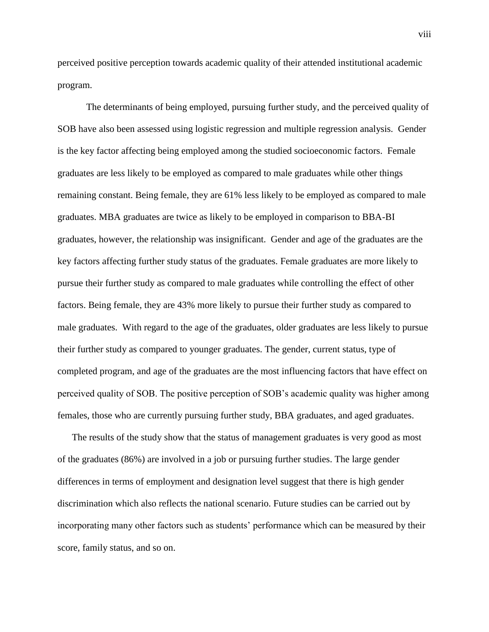perceived positive perception towards academic quality of their attended institutional academic program.

The determinants of being employed, pursuing further study, and the perceived quality of SOB have also been assessed using logistic regression and multiple regression analysis. Gender is the key factor affecting being employed among the studied socioeconomic factors. Female graduates are less likely to be employed as compared to male graduates while other things remaining constant. Being female, they are 61% less likely to be employed as compared to male graduates. MBA graduates are twice as likely to be employed in comparison to BBA-BI graduates, however, the relationship was insignificant. Gender and age of the graduates are the key factors affecting further study status of the graduates. Female graduates are more likely to pursue their further study as compared to male graduates while controlling the effect of other factors. Being female, they are 43% more likely to pursue their further study as compared to male graduates. With regard to the age of the graduates, older graduates are less likely to pursue their further study as compared to younger graduates. The gender, current status, type of completed program, and age of the graduates are the most influencing factors that have effect on perceived quality of SOB. The positive perception of SOB's academic quality was higher among females, those who are currently pursuing further study, BBA graduates, and aged graduates.

The results of the study show that the status of management graduates is very good as most of the graduates (86%) are involved in a job or pursuing further studies. The large gender differences in terms of employment and designation level suggest that there is high gender discrimination which also reflects the national scenario. Future studies can be carried out by incorporating many other factors such as students' performance which can be measured by their score, family status, and so on.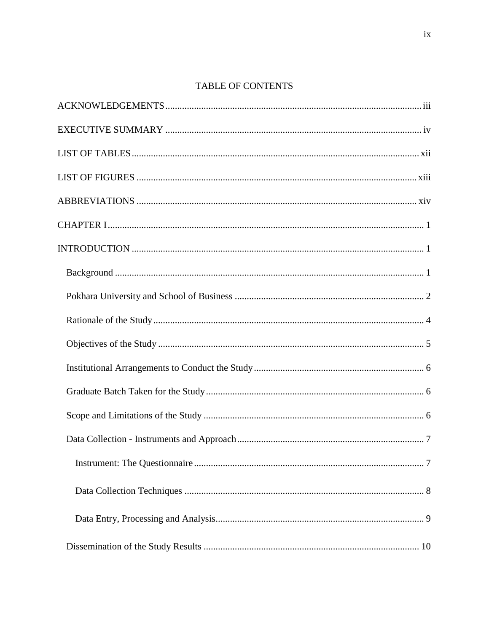# TABLE OF CONTENTS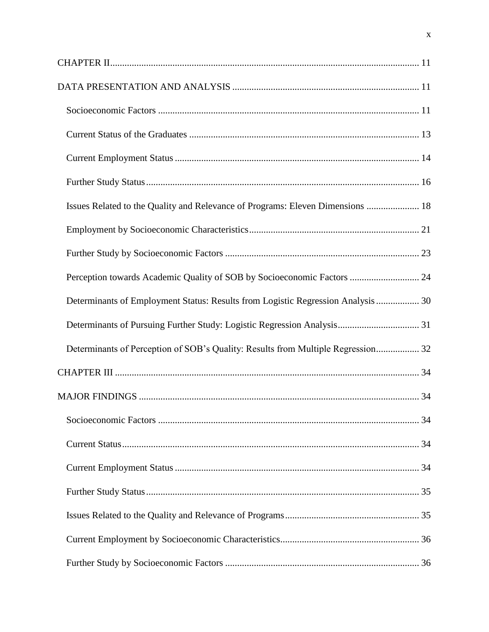| Issues Related to the Quality and Relevance of Programs: Eleven Dimensions  18   |  |
|----------------------------------------------------------------------------------|--|
|                                                                                  |  |
|                                                                                  |  |
| Perception towards Academic Quality of SOB by Socioeconomic Factors  24          |  |
| Determinants of Employment Status: Results from Logistic Regression Analysis  30 |  |
|                                                                                  |  |
| Determinants of Perception of SOB's Quality: Results from Multiple Regression 32 |  |
|                                                                                  |  |
|                                                                                  |  |
|                                                                                  |  |
|                                                                                  |  |
|                                                                                  |  |
|                                                                                  |  |
|                                                                                  |  |
|                                                                                  |  |
|                                                                                  |  |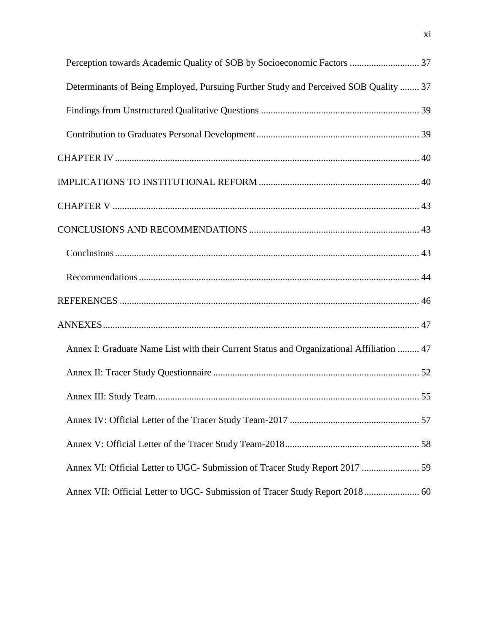| Perception towards Academic Quality of SOB by Socioeconomic Factors  37                  |  |
|------------------------------------------------------------------------------------------|--|
| Determinants of Being Employed, Pursuing Further Study and Perceived SOB Quality  37     |  |
|                                                                                          |  |
|                                                                                          |  |
|                                                                                          |  |
|                                                                                          |  |
|                                                                                          |  |
|                                                                                          |  |
|                                                                                          |  |
|                                                                                          |  |
|                                                                                          |  |
|                                                                                          |  |
| Annex I: Graduate Name List with their Current Status and Organizational Affiliation  47 |  |
|                                                                                          |  |
|                                                                                          |  |
|                                                                                          |  |
|                                                                                          |  |
| Annex VI: Official Letter to UGC- Submission of Tracer Study Report 2017  59             |  |
| Annex VII: Official Letter to UGC- Submission of Tracer Study Report 2018 60             |  |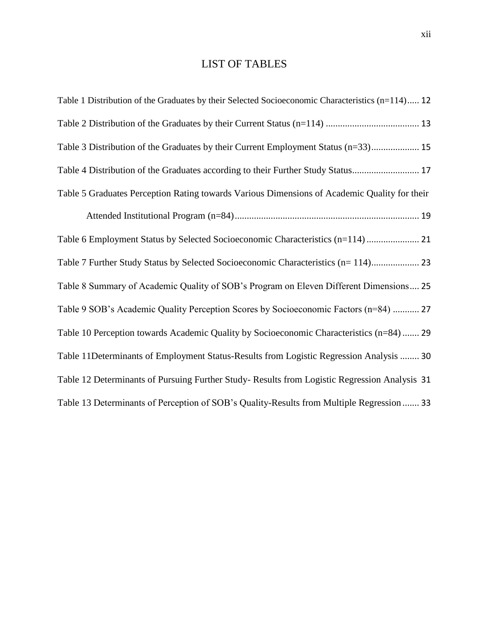# LIST OF TABLES

<span id="page-11-0"></span>

| Table 1 Distribution of the Graduates by their Selected Socioeconomic Characteristics (n=114) 12 |
|--------------------------------------------------------------------------------------------------|
|                                                                                                  |
| Table 3 Distribution of the Graduates by their Current Employment Status (n=33) 15               |
| Table 4 Distribution of the Graduates according to their Further Study Status 17                 |
| Table 5 Graduates Perception Rating towards Various Dimensions of Academic Quality for their     |
|                                                                                                  |
|                                                                                                  |
| Table 7 Further Study Status by Selected Socioeconomic Characteristics (n= 114) 23               |
| Table 8 Summary of Academic Quality of SOB's Program on Eleven Different Dimensions 25           |
| Table 9 SOB's Academic Quality Perception Scores by Socioeconomic Factors (n=84)  27             |
| Table 10 Perception towards Academic Quality by Socioeconomic Characteristics (n=84)  29         |
| Table 11Determinants of Employment Status-Results from Logistic Regression Analysis  30          |
| Table 12 Determinants of Pursuing Further Study-Results from Logistic Regression Analysis 31     |
| Table 13 Determinants of Perception of SOB's Quality-Results from Multiple Regression  33        |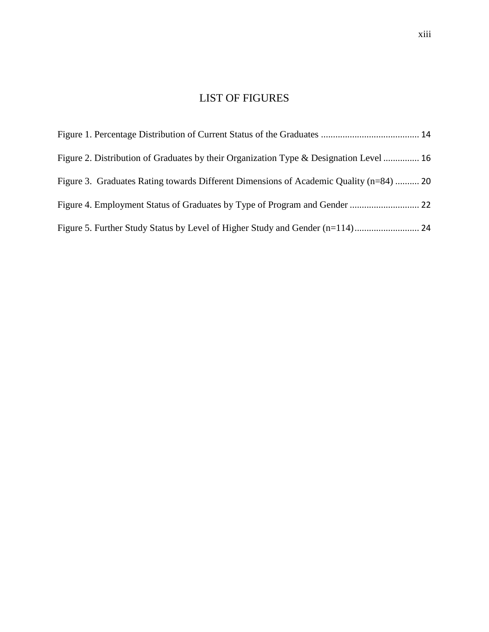# LIST OF FIGURES

<span id="page-12-0"></span>

| Figure 2. Distribution of Graduates by their Organization Type & Designation Level  16 |  |
|----------------------------------------------------------------------------------------|--|
| Figure 3. Graduates Rating towards Different Dimensions of Academic Quality (n=84)  20 |  |
|                                                                                        |  |
|                                                                                        |  |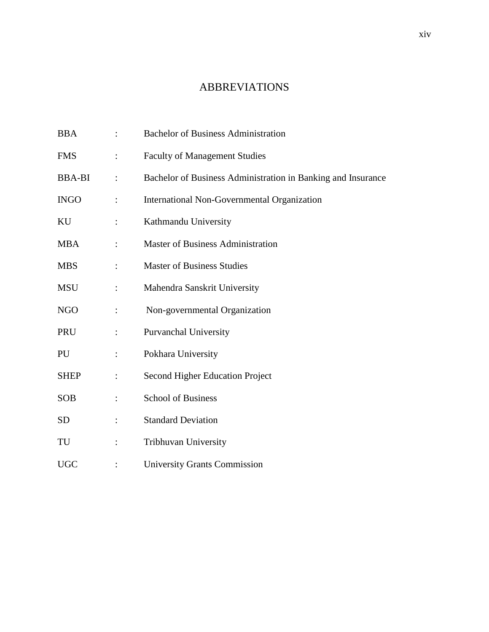# ABBREVIATIONS

<span id="page-13-0"></span>

| <b>BBA</b>    |                      | <b>Bachelor of Business Administration</b>                   |
|---------------|----------------------|--------------------------------------------------------------|
| <b>FMS</b>    |                      | <b>Faculty of Management Studies</b>                         |
| <b>BBA-BI</b> | $\ddot{\cdot}$       | Bachelor of Business Administration in Banking and Insurance |
| <b>INGO</b>   | $\ddot{\cdot}$       | International Non-Governmental Organization                  |
| KU            | $\ddot{\cdot}$       | Kathmandu University                                         |
| <b>MBA</b>    |                      | <b>Master of Business Administration</b>                     |
| <b>MBS</b>    |                      | <b>Master of Business Studies</b>                            |
| <b>MSU</b>    |                      | Mahendra Sanskrit University                                 |
| <b>NGO</b>    |                      | Non-governmental Organization                                |
| PRU           | $\ddot{\phantom{a}}$ | Purvanchal University                                        |
| PU            | $\ddot{\cdot}$       | Pokhara University                                           |
| <b>SHEP</b>   | $\ddot{\cdot}$       | Second Higher Education Project                              |
| <b>SOB</b>    |                      | <b>School of Business</b>                                    |
| <b>SD</b>     |                      | <b>Standard Deviation</b>                                    |
| TU            |                      | Tribhuvan University                                         |
| <b>UGC</b>    |                      | <b>University Grants Commission</b>                          |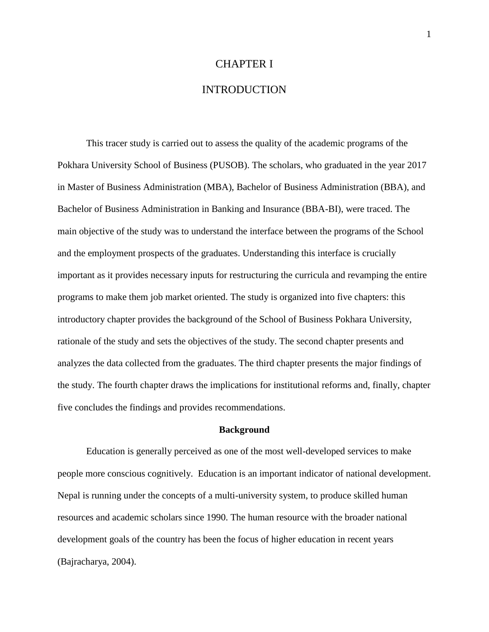### CHAPTER I

## INTRODUCTION

<span id="page-14-1"></span><span id="page-14-0"></span>This tracer study is carried out to assess the quality of the academic programs of the Pokhara University School of Business (PUSOB). The scholars, who graduated in the year 2017 in Master of Business Administration (MBA), Bachelor of Business Administration (BBA), and Bachelor of Business Administration in Banking and Insurance (BBA-BI), were traced. The main objective of the study was to understand the interface between the programs of the School and the employment prospects of the graduates. Understanding this interface is crucially important as it provides necessary inputs for restructuring the curricula and revamping the entire programs to make them job market oriented. The study is organized into five chapters: this introductory chapter provides the background of the School of Business Pokhara University, rationale of the study and sets the objectives of the study. The second chapter presents and analyzes the data collected from the graduates. The third chapter presents the major findings of the study. The fourth chapter draws the implications for institutional reforms and, finally, chapter five concludes the findings and provides recommendations.

#### **Background**

<span id="page-14-2"></span>Education is generally perceived as one of the most well-developed services to make people more conscious cognitively. Education is an important indicator of national development. Nepal is running under the concepts of a multi-university system, to produce skilled human resources and academic scholars since 1990. The human resource with the broader national development goals of the country has been the focus of higher education in recent years (Bajracharya, 2004).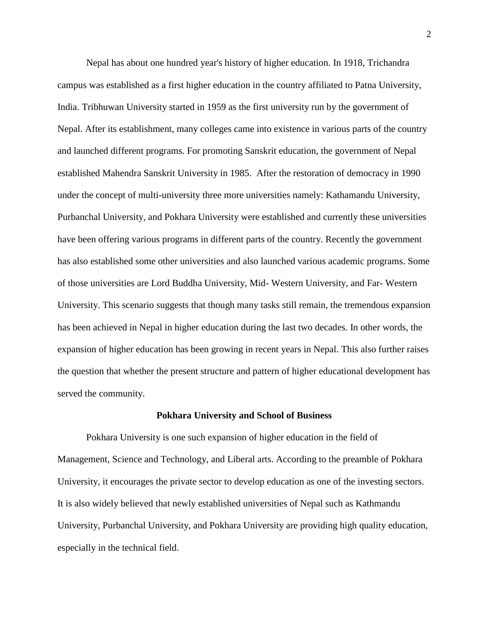Nepal has about one hundred year's history of higher education. In 1918, Trichandra campus was established as a first higher education in the country affiliated to Patna University, India. Tribhuwan University started in 1959 as the first university run by the government of Nepal. After its establishment, many colleges came into existence in various parts of the country and launched different programs. For promoting Sanskrit education, the government of Nepal established Mahendra Sanskrit University in 1985. After the restoration of democracy in 1990 under the concept of multi-university three more universities namely: Kathamandu University, Purbanchal University, and Pokhara University were established and currently these universities have been offering various programs in different parts of the country. Recently the government has also established some other universities and also launched various academic programs. Some of those universities are Lord Buddha University, Mid- Western University, and Far- Western University. This scenario suggests that though many tasks still remain, the tremendous expansion has been achieved in Nepal in higher education during the last two decades. In other words, the expansion of higher education has been growing in recent years in Nepal. This also further raises the question that whether the present structure and pattern of higher educational development has served the community.

#### **Pokhara University and School of Business**

<span id="page-15-0"></span>Pokhara University is one such expansion of higher education in the field of Management, Science and Technology, and Liberal arts. According to the preamble of Pokhara University, it encourages the private sector to develop education as one of the investing sectors. It is also widely believed that newly established universities of Nepal such as Kathmandu University, Purbanchal University, and Pokhara University are providing high quality education, especially in the technical field.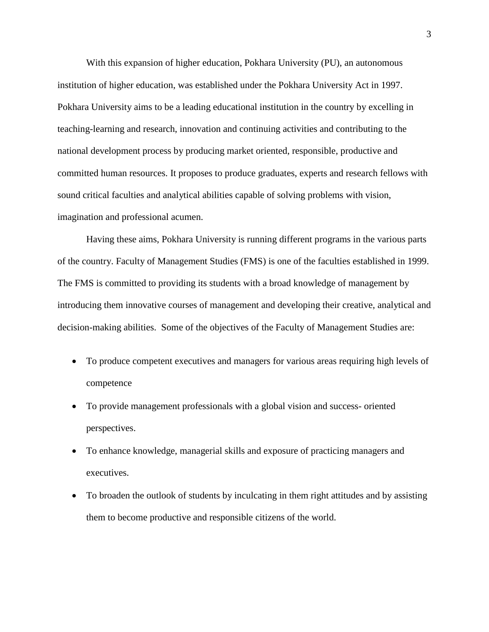With this expansion of higher education, Pokhara University (PU), an autonomous institution of higher education, was established under the Pokhara University Act in 1997. Pokhara University aims to be a leading educational institution in the country by excelling in teaching-learning and research, innovation and continuing activities and contributing to the national development process by producing market oriented, responsible, productive and committed human resources. It proposes to produce graduates, experts and research fellows with sound critical faculties and analytical abilities capable of solving problems with vision, imagination and professional acumen.

Having these aims, Pokhara University is running different programs in the various parts of the country. Faculty of Management Studies (FMS) is one of the faculties established in 1999. The FMS is committed to providing its students with a broad knowledge of management by introducing them innovative courses of management and developing their creative, analytical and decision-making abilities. Some of the objectives of the Faculty of Management Studies are:

- To produce competent executives and managers for various areas requiring high levels of competence
- To provide management professionals with a global vision and success- oriented perspectives.
- To enhance knowledge, managerial skills and exposure of practicing managers and executives.
- To broaden the outlook of students by inculcating in them right attitudes and by assisting them to become productive and responsible citizens of the world.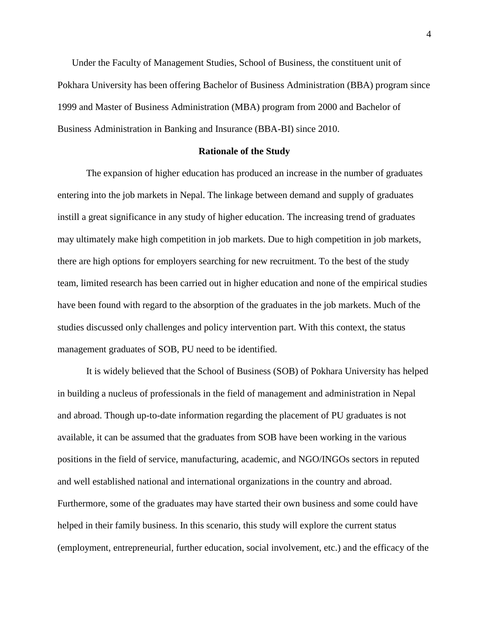Under the Faculty of Management Studies, School of Business, the constituent unit of Pokhara University has been offering Bachelor of Business Administration (BBA) program since 1999 and Master of Business Administration (MBA) program from 2000 and Bachelor of Business Administration in Banking and Insurance (BBA-BI) since 2010.

#### **Rationale of the Study**

<span id="page-17-0"></span>The expansion of higher education has produced an increase in the number of graduates entering into the job markets in Nepal. The linkage between demand and supply of graduates instill a great significance in any study of higher education. The increasing trend of graduates may ultimately make high competition in job markets. Due to high competition in job markets, there are high options for employers searching for new recruitment. To the best of the study team, limited research has been carried out in higher education and none of the empirical studies have been found with regard to the absorption of the graduates in the job markets. Much of the studies discussed only challenges and policy intervention part. With this context, the status management graduates of SOB, PU need to be identified.

It is widely believed that the School of Business (SOB) of Pokhara University has helped in building a nucleus of professionals in the field of management and administration in Nepal and abroad. Though up-to-date information regarding the placement of PU graduates is not available, it can be assumed that the graduates from SOB have been working in the various positions in the field of service, manufacturing, academic, and NGO/INGOs sectors in reputed and well established national and international organizations in the country and abroad. Furthermore, some of the graduates may have started their own business and some could have helped in their family business. In this scenario, this study will explore the current status (employment, entrepreneurial, further education, social involvement, etc.) and the efficacy of the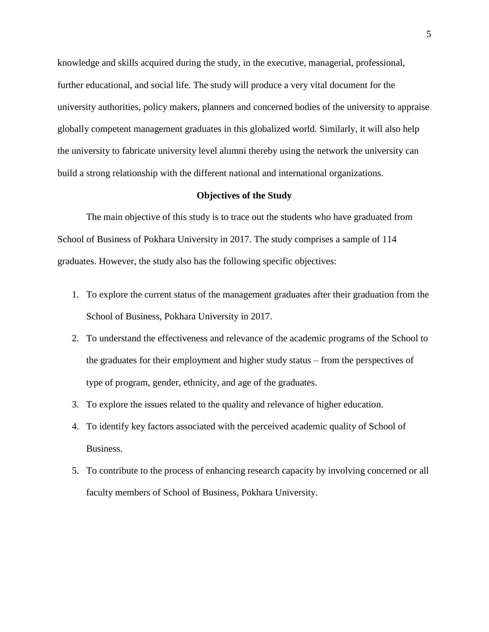knowledge and skills acquired during the study, in the executive, managerial, professional, further educational, and social life. The study will produce a very vital document for the university authorities, policy makers, planners and concerned bodies of the university to appraise globally competent management graduates in this globalized world. Similarly, it will also help the university to fabricate university level alumni thereby using the network the university can build a strong relationship with the different national and international organizations.

#### **Objectives of the Study**

<span id="page-18-0"></span>The main objective of this study is to trace out the students who have graduated from School of Business of Pokhara University in 2017. The study comprises a sample of 114 graduates. However, the study also has the following specific objectives:

- 1. To explore the current status of the management graduates after their graduation from the School of Business, Pokhara University in 2017.
- 2. To understand the effectiveness and relevance of the academic programs of the School to the graduates for their employment and higher study status – from the perspectives of type of program, gender, ethnicity, and age of the graduates.
- 3. To explore the issues related to the quality and relevance of higher education.
- 4. To identify key factors associated with the perceived academic quality of School of Business.
- 5. To contribute to the process of enhancing research capacity by involving concerned or all faculty members of School of Business, Pokhara University.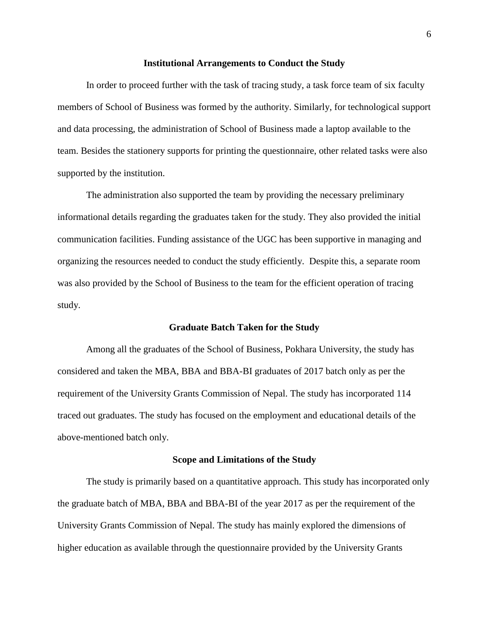#### **Institutional Arrangements to Conduct the Study**

<span id="page-19-0"></span>In order to proceed further with the task of tracing study, a task force team of six faculty members of School of Business was formed by the authority. Similarly, for technological support and data processing, the administration of School of Business made a laptop available to the team. Besides the stationery supports for printing the questionnaire, other related tasks were also supported by the institution.

The administration also supported the team by providing the necessary preliminary informational details regarding the graduates taken for the study. They also provided the initial communication facilities. Funding assistance of the UGC has been supportive in managing and organizing the resources needed to conduct the study efficiently. Despite this, a separate room was also provided by the School of Business to the team for the efficient operation of tracing study.

#### **Graduate Batch Taken for the Study**

<span id="page-19-1"></span>Among all the graduates of the School of Business, Pokhara University, the study has considered and taken the MBA, BBA and BBA-BI graduates of 2017 batch only as per the requirement of the University Grants Commission of Nepal. The study has incorporated 114 traced out graduates. The study has focused on the employment and educational details of the above-mentioned batch only.

#### **Scope and Limitations of the Study**

<span id="page-19-2"></span>The study is primarily based on a quantitative approach. This study has incorporated only the graduate batch of MBA, BBA and BBA-BI of the year 2017 as per the requirement of the University Grants Commission of Nepal. The study has mainly explored the dimensions of higher education as available through the questionnaire provided by the University Grants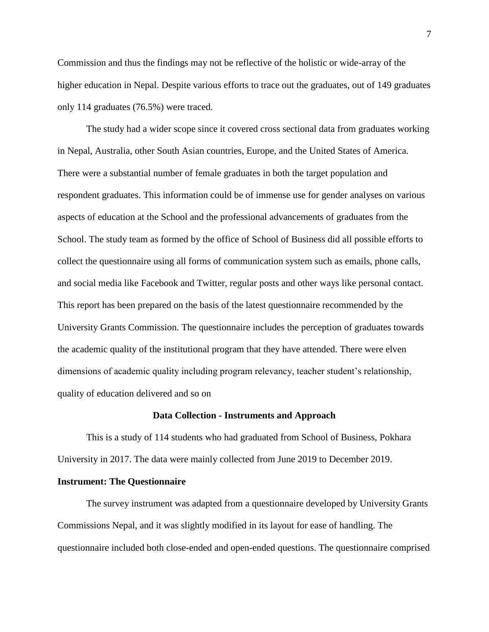Commission and thus the findings may not be reflective of the holistic or wide-array of the higher education in Nepal. Despite various efforts to trace out the graduates, out of 149 graduates only 114 graduates (76.5%) were traced.

The study had a wider scope since it covered cross sectional data from graduates working in Nepal, Australia, other South Asian countries, Europe, and the United States of America. There were a substantial number of female graduates in both the target population and respondent graduates. This information could be of immense use for gender analyses on various aspects of education at the School and the professional advancements of graduates from the School. The study team as formed by the office of School of Business did all possible efforts to collect the questionnaire using all forms of communication system such as emails, phone calls, and social media like Facebook and Twitter, regular posts and other ways like personal contact. This report has been prepared on the basis of the latest questionnaire recommended by the University Grants Commission. The questionnaire includes the perception of graduates towards the academic quality of the institutional program that they have attended. There were elven dimensions of academic quality including program relevancy, teacher student's relationship, quality of education delivered and so on

#### **Data Collection - Instruments and Approach**

<span id="page-20-0"></span>This is a study of 114 students who had graduated from School of Business, Pokhara University in 2017. The data were mainly collected from June 2019 to December 2019.

#### <span id="page-20-1"></span>**Instrument: The Questionnaire**

The survey instrument was adapted from a questionnaire developed by University Grants Commissions Nepal, and it was slightly modified in its layout for ease of handling. The questionnaire included both close-ended and open-ended questions. The questionnaire comprised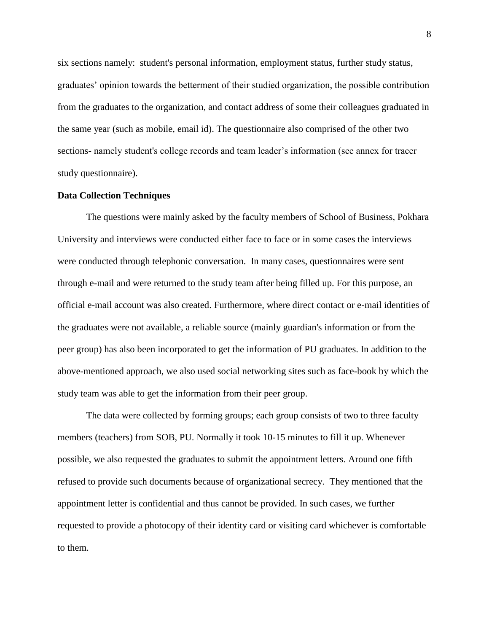six sections namely: student's personal information, employment status, further study status, graduates' opinion towards the betterment of their studied organization, the possible contribution from the graduates to the organization, and contact address of some their colleagues graduated in the same year (such as mobile, email id). The questionnaire also comprised of the other two sections- namely student's college records and team leader's information (see annex for tracer study questionnaire).

#### <span id="page-21-0"></span>**Data Collection Techniques**

The questions were mainly asked by the faculty members of School of Business, Pokhara University and interviews were conducted either face to face or in some cases the interviews were conducted through telephonic conversation. In many cases, questionnaires were sent through e-mail and were returned to the study team after being filled up. For this purpose, an official e-mail account was also created. Furthermore, where direct contact or e-mail identities of the graduates were not available, a reliable source (mainly guardian's information or from the peer group) has also been incorporated to get the information of PU graduates. In addition to the above-mentioned approach, we also used social networking sites such as face-book by which the study team was able to get the information from their peer group.

The data were collected by forming groups; each group consists of two to three faculty members (teachers) from SOB, PU. Normally it took 10-15 minutes to fill it up. Whenever possible, we also requested the graduates to submit the appointment letters. Around one fifth refused to provide such documents because of organizational secrecy. They mentioned that the appointment letter is confidential and thus cannot be provided. In such cases, we further requested to provide a photocopy of their identity card or visiting card whichever is comfortable to them.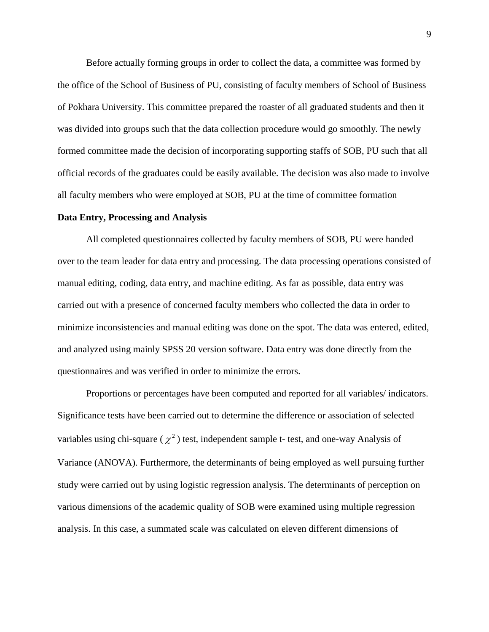Before actually forming groups in order to collect the data, a committee was formed by the office of the School of Business of PU, consisting of faculty members of School of Business of Pokhara University. This committee prepared the roaster of all graduated students and then it was divided into groups such that the data collection procedure would go smoothly. The newly formed committee made the decision of incorporating supporting staffs of SOB, PU such that all official records of the graduates could be easily available. The decision was also made to involve all faculty members who were employed at SOB, PU at the time of committee formation

#### <span id="page-22-0"></span>**Data Entry, Processing and Analysis**

All completed questionnaires collected by faculty members of SOB, PU were handed over to the team leader for data entry and processing. The data processing operations consisted of manual editing, coding, data entry, and machine editing. As far as possible, data entry was carried out with a presence of concerned faculty members who collected the data in order to minimize inconsistencies and manual editing was done on the spot. The data was entered, edited, and analyzed using mainly SPSS 20 version software. Data entry was done directly from the questionnaires and was verified in order to minimize the errors.

Proportions or percentages have been computed and reported for all variables/ indicators. Significance tests have been carried out to determine the difference or association of selected variables using chi-square ( $\chi^2$ ) test, independent sample t- test, and one-way Analysis of Variance (ANOVA). Furthermore, the determinants of being employed as well pursuing further study were carried out by using logistic regression analysis. The determinants of perception on various dimensions of the academic quality of SOB were examined using multiple regression analysis. In this case, a summated scale was calculated on eleven different dimensions of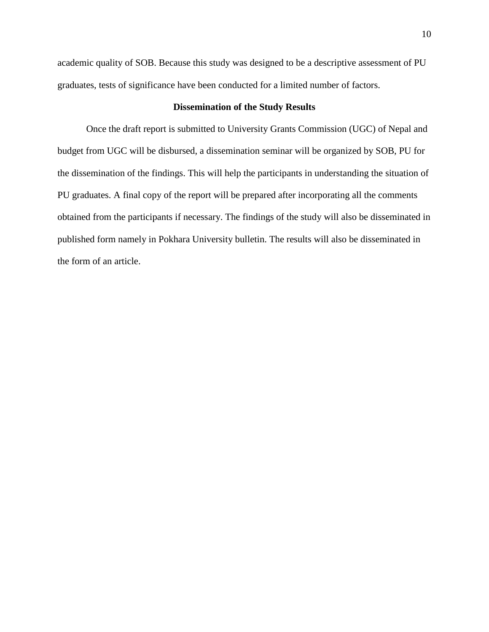academic quality of SOB. Because this study was designed to be a descriptive assessment of PU graduates, tests of significance have been conducted for a limited number of factors.

### **Dissemination of the Study Results**

<span id="page-23-0"></span>Once the draft report is submitted to University Grants Commission (UGC) of Nepal and budget from UGC will be disbursed, a dissemination seminar will be organized by SOB, PU for the dissemination of the findings. This will help the participants in understanding the situation of PU graduates. A final copy of the report will be prepared after incorporating all the comments obtained from the participants if necessary. The findings of the study will also be disseminated in published form namely in Pokhara University bulletin. The results will also be disseminated in the form of an article.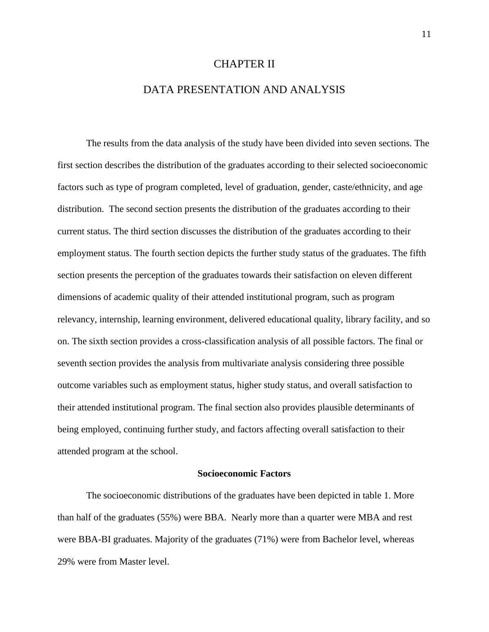#### CHAPTER II

## DATA PRESENTATION AND ANALYSIS

<span id="page-24-1"></span><span id="page-24-0"></span>The results from the data analysis of the study have been divided into seven sections. The first section describes the distribution of the graduates according to their selected socioeconomic factors such as type of program completed, level of graduation, gender, caste/ethnicity, and age distribution. The second section presents the distribution of the graduates according to their current status. The third section discusses the distribution of the graduates according to their employment status. The fourth section depicts the further study status of the graduates. The fifth section presents the perception of the graduates towards their satisfaction on eleven different dimensions of academic quality of their attended institutional program, such as program relevancy, internship, learning environment, delivered educational quality, library facility, and so on. The sixth section provides a cross-classification analysis of all possible factors. The final or seventh section provides the analysis from multivariate analysis considering three possible outcome variables such as employment status, higher study status, and overall satisfaction to their attended institutional program. The final section also provides plausible determinants of being employed, continuing further study, and factors affecting overall satisfaction to their attended program at the school.

### **Socioeconomic Factors**

<span id="page-24-2"></span>The socioeconomic distributions of the graduates have been depicted in table 1. More than half of the graduates (55%) were BBA. Nearly more than a quarter were MBA and rest were BBA-BI graduates. Majority of the graduates (71%) were from Bachelor level, whereas 29% were from Master level.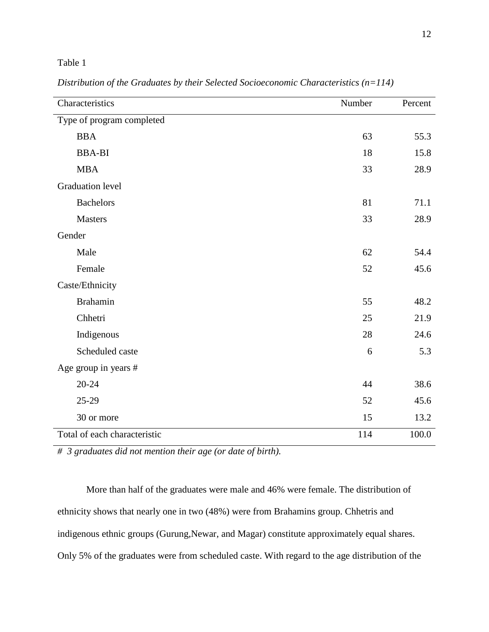### <span id="page-25-0"></span>Table 1

| Characteristics              | Number | Percent |
|------------------------------|--------|---------|
| Type of program completed    |        |         |
| <b>BBA</b>                   | 63     | 55.3    |
| <b>BBA-BI</b>                | 18     | 15.8    |
| <b>MBA</b>                   | 33     | 28.9    |
| <b>Graduation level</b>      |        |         |
| <b>Bachelors</b>             | 81     | 71.1    |
| <b>Masters</b>               | 33     | 28.9    |
| Gender                       |        |         |
| Male                         | 62     | 54.4    |
| Female                       | 52     | 45.6    |
| Caste/Ethnicity              |        |         |
| <b>Brahamin</b>              | 55     | 48.2    |
| Chhetri                      | 25     | 21.9    |
| Indigenous                   | 28     | 24.6    |
| Scheduled caste              | 6      | 5.3     |
| Age group in years #         |        |         |
| $20 - 24$                    | 44     | 38.6    |
| 25-29                        | 52     | 45.6    |
| 30 or more                   | 15     | 13.2    |
| Total of each characteristic | 114    | 100.0   |

*Distribution of the Graduates by their Selected Socioeconomic Characteristics (n=114)*

*# 3 graduates did not mention their age (or date of birth).* 

More than half of the graduates were male and 46% were female. The distribution of ethnicity shows that nearly one in two (48%) were from Brahamins group. Chhetris and indigenous ethnic groups (Gurung,Newar, and Magar) constitute approximately equal shares. Only 5% of the graduates were from scheduled caste. With regard to the age distribution of the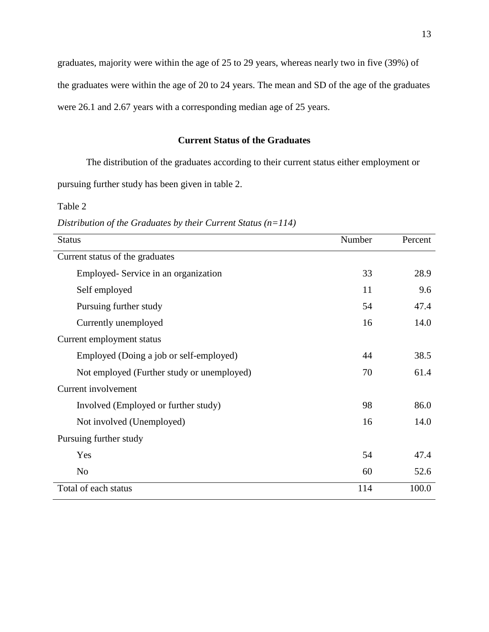graduates, majority were within the age of 25 to 29 years, whereas nearly two in five (39%) of the graduates were within the age of 20 to 24 years. The mean and SD of the age of the graduates were 26.1 and 2.67 years with a corresponding median age of 25 years.

### **Current Status of the Graduates**

<span id="page-26-0"></span>The distribution of the graduates according to their current status either employment or pursuing further study has been given in table 2.

<span id="page-26-1"></span>Table 2

Status **Number** Percent Current status of the graduates Employed- Service in an organization 33 28.9 Self employed 11 9.6 Pursuing further study 54 54 54 47.4 Currently unemployed 16 14.0 Current employment status Employed (Doing a job or self-employed) 44 38.5 Not employed (Further study or unemployed) 70 61.4 Current involvement Involved (Employed or further study) 98 86.0 Not involved (Unemployed) 16 14.0 Pursuing further study Yes 47.4 No  $52.6$ Total of each status 114 100.0

*Distribution of the Graduates by their Current Status (n=114)*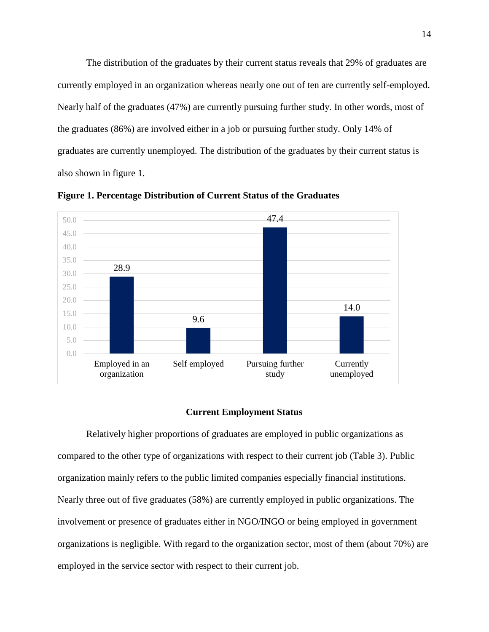The distribution of the graduates by their current status reveals that 29% of graduates are currently employed in an organization whereas nearly one out of ten are currently self-employed. Nearly half of the graduates (47%) are currently pursuing further study. In other words, most of the graduates (86%) are involved either in a job or pursuing further study. Only 14% of graduates are currently unemployed. The distribution of the graduates by their current status is also shown in figure 1.



<span id="page-27-1"></span>**Figure 1. Percentage Distribution of Current Status of the Graduates**

#### **Current Employment Status**

<span id="page-27-0"></span>Relatively higher proportions of graduates are employed in public organizations as compared to the other type of organizations with respect to their current job (Table 3). Public organization mainly refers to the public limited companies especially financial institutions. Nearly three out of five graduates (58%) are currently employed in public organizations. The involvement or presence of graduates either in NGO/INGO or being employed in government organizations is negligible. With regard to the organization sector, most of them (about 70%) are employed in the service sector with respect to their current job.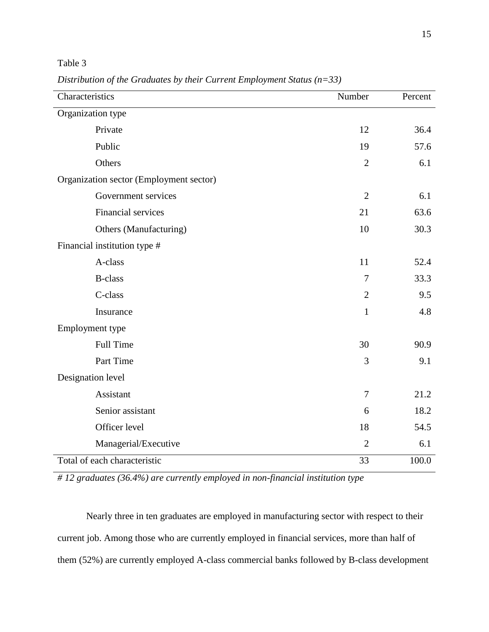<span id="page-28-0"></span>Table 3

| Characteristics                         | Number         | Percent |  |
|-----------------------------------------|----------------|---------|--|
| Organization type                       |                |         |  |
| Private                                 | 12             | 36.4    |  |
| Public                                  | 19             | 57.6    |  |
| Others                                  | $\overline{2}$ | 6.1     |  |
| Organization sector (Employment sector) |                |         |  |
| Government services                     | $\overline{2}$ | 6.1     |  |
| <b>Financial services</b>               | 21             | 63.6    |  |
| Others (Manufacturing)                  | 10             | 30.3    |  |
| Financial institution type #            |                |         |  |
| A-class                                 | 11             | 52.4    |  |
| <b>B-class</b>                          | 7              | 33.3    |  |
| C-class                                 | $\overline{2}$ | 9.5     |  |
| Insurance                               | $\mathbf{1}$   | 4.8     |  |
| Employment type                         |                |         |  |
| <b>Full Time</b>                        | 30             | 90.9    |  |
| Part Time                               | 3              | 9.1     |  |
| Designation level                       |                |         |  |
| Assistant                               | $\tau$         | 21.2    |  |
| Senior assistant                        | 6              | 18.2    |  |
| Officer level                           | 18             | 54.5    |  |
| Managerial/Executive                    | $\overline{2}$ | 6.1     |  |
| Total of each characteristic            | 33             | 100.0   |  |

*Distribution of the Graduates by their Current Employment Status (n=33)*

*# 12 graduates (36.4%) are currently employed in non-financial institution type*

Nearly three in ten graduates are employed in manufacturing sector with respect to their current job. Among those who are currently employed in financial services, more than half of them (52%) are currently employed A-class commercial banks followed by B-class development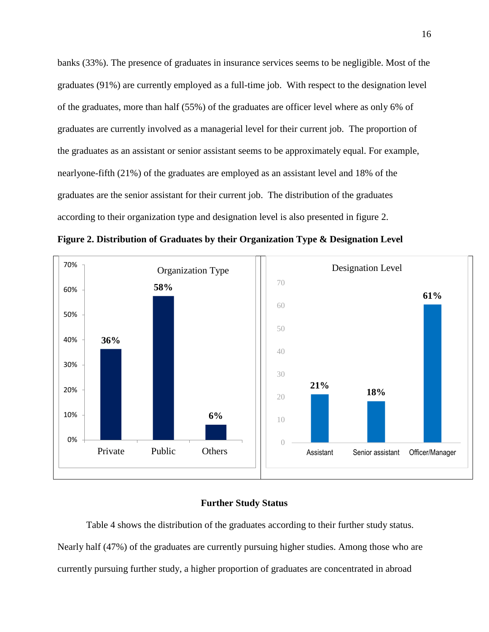banks (33%). The presence of graduates in insurance services seems to be negligible. Most of the graduates (91%) are currently employed as a full-time job. With respect to the designation level of the graduates, more than half (55%) of the graduates are officer level where as only 6% of graduates are currently involved as a managerial level for their current job. The proportion of the graduates as an assistant or senior assistant seems to be approximately equal. For example, nearlyone-fifth (21%) of the graduates are employed as an assistant level and 18% of the graduates are the senior assistant for their current job. The distribution of the graduates according to their organization type and designation level is also presented in figure 2.

<span id="page-29-1"></span>**Figure 2. Distribution of Graduates by their Organization Type & Designation Level**



#### **Further Study Status**

<span id="page-29-0"></span>Table 4 shows the distribution of the graduates according to their further study status. Nearly half (47%) of the graduates are currently pursuing higher studies. Among those who are currently pursuing further study, a higher proportion of graduates are concentrated in abroad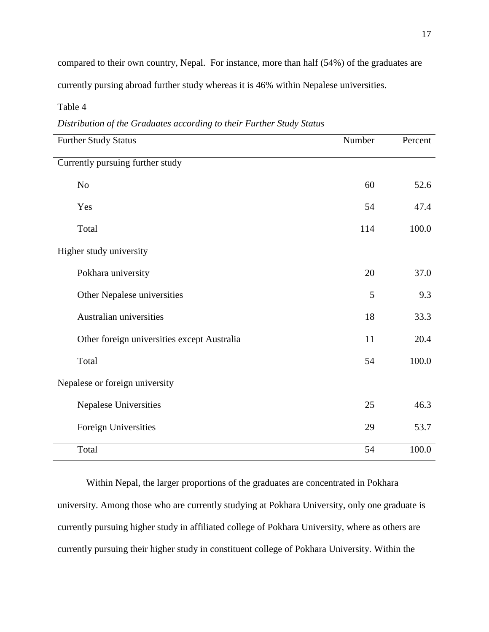compared to their own country, Nepal. For instance, more than half (54%) of the graduates are currently pursing abroad further study whereas it is 46% within Nepalese universities.

<span id="page-30-0"></span>Table 4

| Distribution of the Graduates according to their Further Study Status |  |  |  |
|-----------------------------------------------------------------------|--|--|--|
|                                                                       |  |  |  |

| <b>Further Study Status</b>                 | Number | Percent |
|---------------------------------------------|--------|---------|
| Currently pursuing further study            |        |         |
| N <sub>o</sub>                              | 60     | 52.6    |
| Yes                                         | 54     | 47.4    |
| Total                                       | 114    | 100.0   |
| Higher study university                     |        |         |
| Pokhara university                          | 20     | 37.0    |
| Other Nepalese universities                 | 5      | 9.3     |
| Australian universities                     | 18     | 33.3    |
| Other foreign universities except Australia | 11     | 20.4    |
| Total                                       | 54     | 100.0   |
| Nepalese or foreign university              |        |         |
| Nepalese Universities                       | 25     | 46.3    |
| Foreign Universities                        | 29     | 53.7    |
| Total                                       | 54     | 100.0   |

Within Nepal, the larger proportions of the graduates are concentrated in Pokhara university. Among those who are currently studying at Pokhara University, only one graduate is currently pursuing higher study in affiliated college of Pokhara University, where as others are currently pursuing their higher study in constituent college of Pokhara University*.* Within the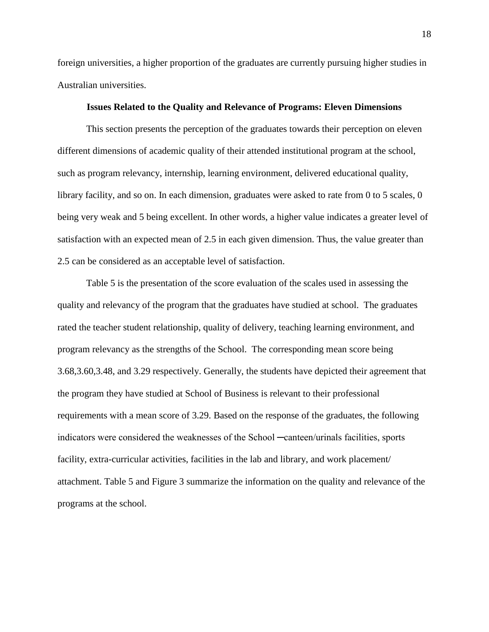foreign universities, a higher proportion of the graduates are currently pursuing higher studies in Australian universities.

#### **Issues Related to the Quality and Relevance of Programs: Eleven Dimensions**

<span id="page-31-0"></span>This section presents the perception of the graduates towards their perception on eleven different dimensions of academic quality of their attended institutional program at the school, such as program relevancy, internship, learning environment, delivered educational quality, library facility, and so on. In each dimension, graduates were asked to rate from 0 to 5 scales, 0 being very weak and 5 being excellent. In other words, a higher value indicates a greater level of satisfaction with an expected mean of 2.5 in each given dimension. Thus, the value greater than 2.5 can be considered as an acceptable level of satisfaction.

Table 5 is the presentation of the score evaluation of the scales used in assessing the quality and relevancy of the program that the graduates have studied at school. The graduates rated the teacher student relationship, quality of delivery, teaching learning environment, and program relevancy as the strengths of the School. The corresponding mean score being 3.68,3.60,3.48, and 3.29 respectively. Generally, the students have depicted their agreement that the program they have studied at School of Business is relevant to their professional requirements with a mean score of 3.29. Based on the response of the graduates, the following indicators were considered the weaknesses of the School ─canteen/urinals facilities, sports facility, extra-curricular activities, facilities in the lab and library, and work placement attachment. Table 5 and Figure 3 summarize the information on the quality and relevance of the programs at the school.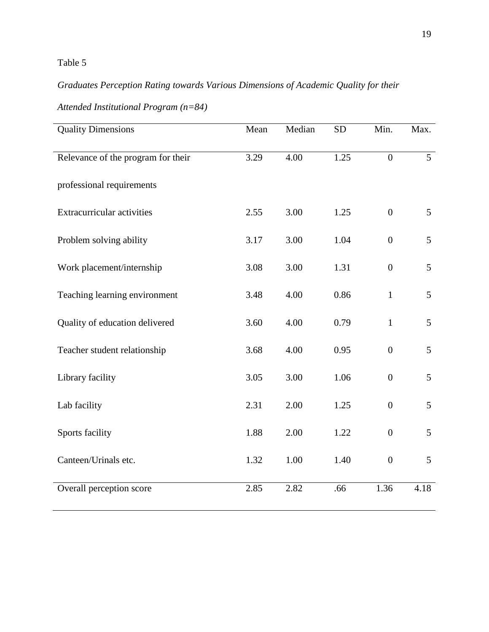# <span id="page-32-0"></span>Table 5

# *Graduates Perception Rating towards Various Dimensions of Academic Quality for their*

| <b>Quality Dimensions</b>          | Mean | Median | <b>SD</b> | Min.             | Max.           |
|------------------------------------|------|--------|-----------|------------------|----------------|
| Relevance of the program for their | 3.29 | 4.00   | 1.25      | $\mathbf{0}$     | $\overline{5}$ |
| professional requirements          |      |        |           |                  |                |
| Extracurricular activities         | 2.55 | 3.00   | 1.25      | $\boldsymbol{0}$ | 5              |
| Problem solving ability            | 3.17 | 3.00   | 1.04      | $\boldsymbol{0}$ | 5              |
| Work placement/internship          | 3.08 | 3.00   | 1.31      | $\boldsymbol{0}$ | 5              |
| Teaching learning environment      | 3.48 | 4.00   | 0.86      | $\mathbf{1}$     | 5              |
| Quality of education delivered     | 3.60 | 4.00   | 0.79      | $\mathbf{1}$     | 5              |
| Teacher student relationship       | 3.68 | 4.00   | 0.95      | $\boldsymbol{0}$ | 5              |
| Library facility                   | 3.05 | 3.00   | 1.06      | $\boldsymbol{0}$ | 5              |
| Lab facility                       | 2.31 | 2.00   | 1.25      | $\boldsymbol{0}$ | 5              |
| Sports facility                    | 1.88 | 2.00   | 1.22      | $\boldsymbol{0}$ | 5              |
| Canteen/Urinals etc.               | 1.32 | 1.00   | 1.40      | $\boldsymbol{0}$ | 5              |
| Overall perception score           | 2.85 | 2.82   | .66       | 1.36             | 4.18           |

*Attended Institutional Program (n=84)*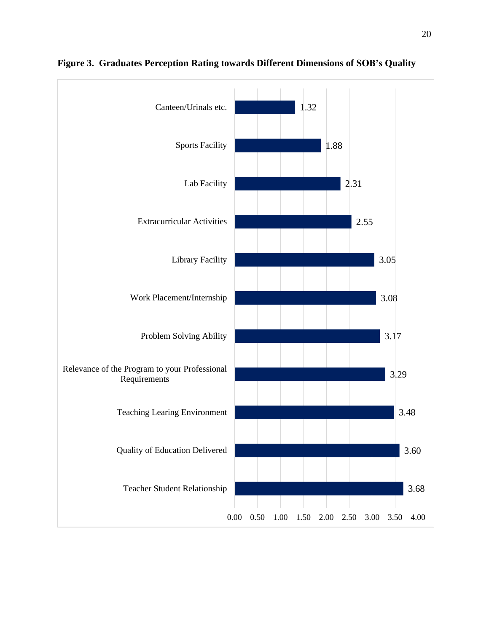

<span id="page-33-0"></span>**Figure 3. Graduates Perception Rating towards Different Dimensions of SOB's Quality**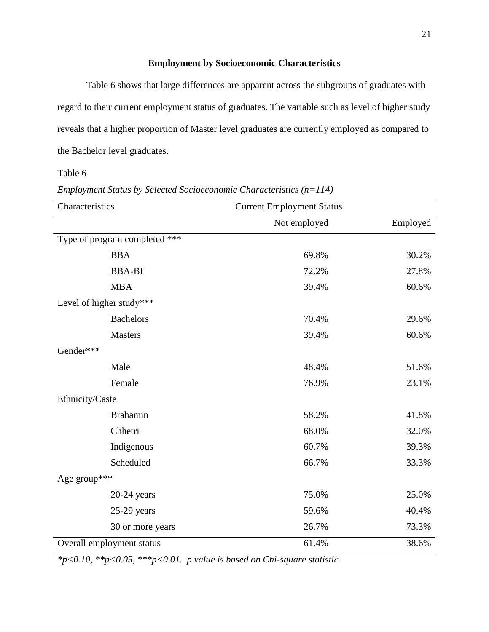# **Employment by Socioeconomic Characteristics**

<span id="page-34-0"></span>Table 6 shows that large differences are apparent across the subgroups of graduates with regard to their current employment status of graduates. The variable such as level of higher study reveals that a higher proportion of Master level graduates are currently employed as compared to the Bachelor level graduates.

<span id="page-34-1"></span>Table 6

| Employment Status by Selected Socioeconomic Characteristics $(n=114)$ |  |  |  |  |
|-----------------------------------------------------------------------|--|--|--|--|
|-----------------------------------------------------------------------|--|--|--|--|

| Characteristics               | <b>Current Employment Status</b> |          |
|-------------------------------|----------------------------------|----------|
|                               | Not employed                     | Employed |
| Type of program completed *** |                                  |          |
| <b>BBA</b>                    | 69.8%                            | 30.2%    |
| <b>BBA-BI</b>                 | 72.2%                            | 27.8%    |
| <b>MBA</b>                    | 39.4%                            | 60.6%    |
| Level of higher study***      |                                  |          |
| <b>Bachelors</b>              | 70.4%                            | 29.6%    |
| Masters                       | 39.4%                            | 60.6%    |
| Gender***                     |                                  |          |
| Male                          | 48.4%                            | 51.6%    |
| Female                        | 76.9%                            | 23.1%    |
| Ethnicity/Caste               |                                  |          |
| <b>Brahamin</b>               | 58.2%                            | 41.8%    |
| Chhetri                       | 68.0%                            | 32.0%    |
| Indigenous                    | 60.7%                            | 39.3%    |
| Scheduled                     | 66.7%                            | 33.3%    |
| Age group***                  |                                  |          |
| $20-24$ years                 | 75.0%                            | 25.0%    |
| $25-29$ years                 | 59.6%                            | 40.4%    |
| 30 or more years              | 26.7%                            | 73.3%    |
| Overall employment status     | 61.4%                            | 38.6%    |

*\*p<0.10, \*\*p<0.05, \*\*\*p<0.01. p value is based on Chi-square statistic*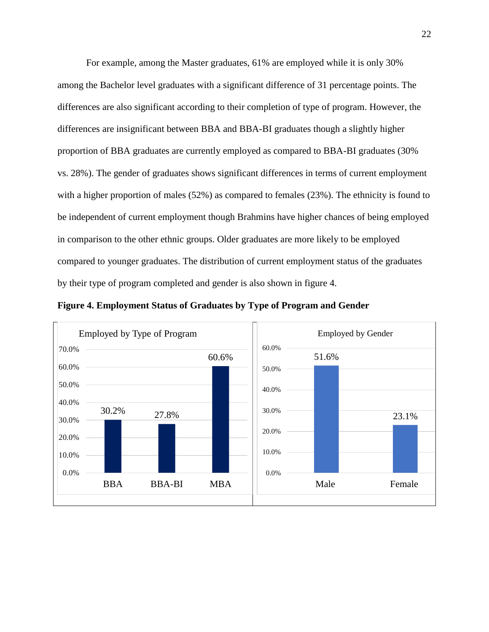For example, among the Master graduates, 61% are employed while it is only 30% among the Bachelor level graduates with a significant difference of 31 percentage points. The differences are also significant according to their completion of type of program. However, the differences are insignificant between BBA and BBA-BI graduates though a slightly higher proportion of BBA graduates are currently employed as compared to BBA-BI graduates (30% vs. 28%). The gender of graduates shows significant differences in terms of current employment with a higher proportion of males (52%) as compared to females (23%). The ethnicity is found to be independent of current employment though Brahmins have higher chances of being employed in comparison to the other ethnic groups. Older graduates are more likely to be employed compared to younger graduates. The distribution of current employment status of the graduates by their type of program completed and gender is also shown in figure 4.

<span id="page-35-0"></span>

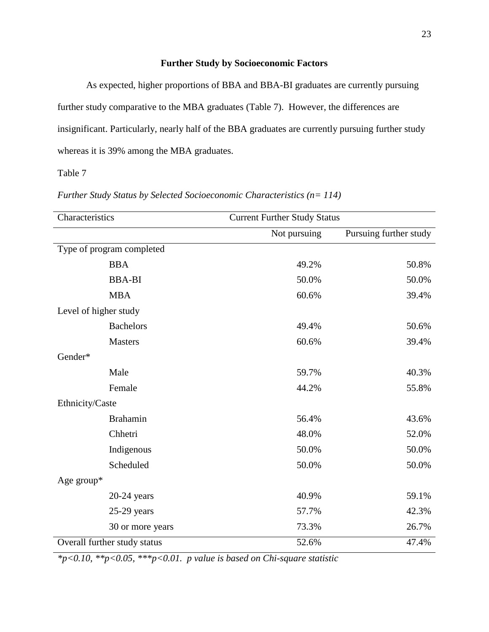## **Further Study by Socioeconomic Factors**

As expected, higher proportions of BBA and BBA-BI graduates are currently pursuing further study comparative to the MBA graduates (Table 7). However, the differences are insignificant. Particularly, nearly half of the BBA graduates are currently pursuing further study whereas it is 39% among the MBA graduates.

Table 7

| Characteristics       |                              | <b>Current Further Study Status</b> |                        |
|-----------------------|------------------------------|-------------------------------------|------------------------|
|                       |                              | Not pursuing                        | Pursuing further study |
|                       | Type of program completed    |                                     |                        |
|                       | <b>BBA</b>                   | 49.2%                               | 50.8%                  |
|                       | <b>BBA-BI</b>                | 50.0%                               | 50.0%                  |
|                       | <b>MBA</b>                   | 60.6%                               | 39.4%                  |
| Level of higher study |                              |                                     |                        |
|                       | <b>Bachelors</b>             | 49.4%                               | 50.6%                  |
|                       | <b>Masters</b>               | 60.6%                               | 39.4%                  |
| Gender*               |                              |                                     |                        |
|                       | Male                         | 59.7%                               | 40.3%                  |
|                       | Female                       | 44.2%                               | 55.8%                  |
| Ethnicity/Caste       |                              |                                     |                        |
|                       | <b>Brahamin</b>              | 56.4%                               | 43.6%                  |
|                       | Chhetri                      | 48.0%                               | 52.0%                  |
|                       | Indigenous                   | 50.0%                               | 50.0%                  |
|                       | Scheduled                    | 50.0%                               | 50.0%                  |
| Age group*            |                              |                                     |                        |
|                       | $20-24$ years                | 40.9%                               | 59.1%                  |
|                       | $25-29$ years                | 57.7%                               | 42.3%                  |
|                       | 30 or more years             | 73.3%                               | 26.7%                  |
|                       | Overall further study status | 52.6%                               | 47.4%                  |

*Further Study Status by Selected Socioeconomic Characteristics (n= 114)*

*\*p<0.10, \*\*p<0.05, \*\*\*p<0.01. p value is based on Chi-square statistic*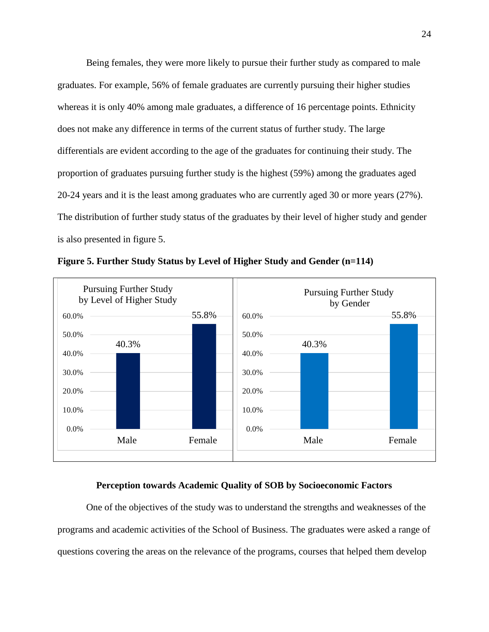Being females, they were more likely to pursue their further study as compared to male graduates. For example, 56% of female graduates are currently pursuing their higher studies whereas it is only 40% among male graduates, a difference of 16 percentage points. Ethnicity does not make any difference in terms of the current status of further study. The large differentials are evident according to the age of the graduates for continuing their study. The proportion of graduates pursuing further study is the highest (59%) among the graduates aged 20-24 years and it is the least among graduates who are currently aged 30 or more years (27%). The distribution of further study status of the graduates by their level of higher study and gender is also presented in figure 5.



**Figure 5. Further Study Status by Level of Higher Study and Gender (n=114)**

## **Perception towards Academic Quality of SOB by Socioeconomic Factors**

One of the objectives of the study was to understand the strengths and weaknesses of the programs and academic activities of the School of Business. The graduates were asked a range of questions covering the areas on the relevance of the programs, courses that helped them develop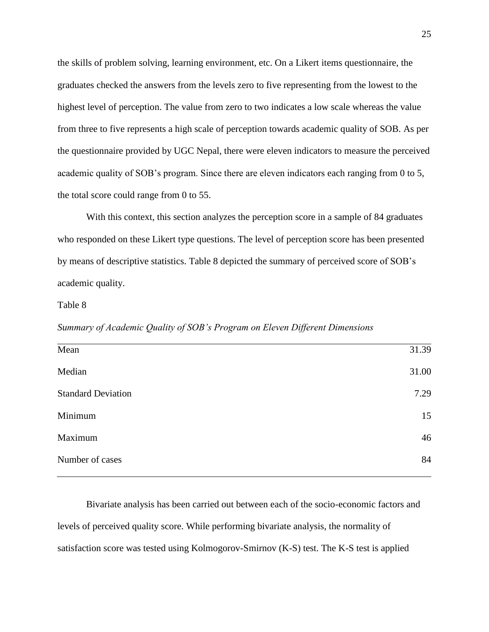the skills of problem solving, learning environment, etc. On a Likert items questionnaire, the graduates checked the answers from the levels zero to five representing from the lowest to the highest level of perception. The value from zero to two indicates a low scale whereas the value from three to five represents a high scale of perception towards academic quality of SOB. As per the questionnaire provided by UGC Nepal, there were eleven indicators to measure the perceived academic quality of SOB's program. Since there are eleven indicators each ranging from 0 to 5, the total score could range from 0 to 55.

With this context, this section analyzes the perception score in a sample of 84 graduates who responded on these Likert type questions. The level of perception score has been presented by means of descriptive statistics. Table 8 depicted the summary of perceived score of SOB's academic quality.

## Table 8

*Summary of Academic Quality of SOB's Program on Eleven Different Dimensions*

| Mean                      | 31.39 |
|---------------------------|-------|
| Median                    | 31.00 |
| <b>Standard Deviation</b> | 7.29  |
| Minimum                   | 15    |
| Maximum                   | 46    |
| Number of cases           | 84    |
|                           |       |

Bivariate analysis has been carried out between each of the socio-economic factors and levels of perceived quality score. While performing bivariate analysis, the normality of satisfaction score was tested using Kolmogorov-Smirnov (K-S) test. The K-S test is applied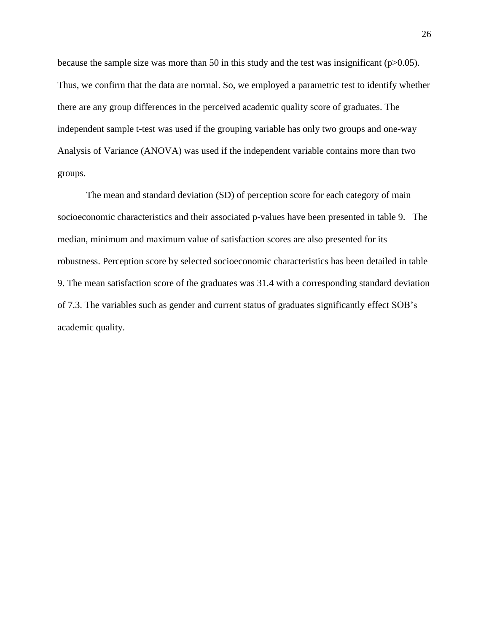because the sample size was more than 50 in this study and the test was insignificant ( $p>0.05$ ). Thus, we confirm that the data are normal. So, we employed a parametric test to identify whether there are any group differences in the perceived academic quality score of graduates. The independent sample t-test was used if the grouping variable has only two groups and one-way Analysis of Variance (ANOVA) was used if the independent variable contains more than two groups.

The mean and standard deviation (SD) of perception score for each category of main socioeconomic characteristics and their associated p-values have been presented in table 9. The median, minimum and maximum value of satisfaction scores are also presented for its robustness. Perception score by selected socioeconomic characteristics has been detailed in table 9. The mean satisfaction score of the graduates was 31.4 with a corresponding standard deviation of 7.3. The variables such as gender and current status of graduates significantly effect SOB's academic quality.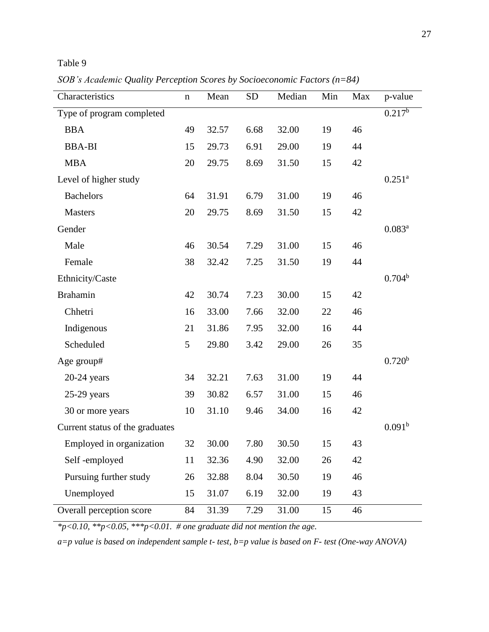## Table 9

*SOB's Academic Quality Perception Scores by Socioeconomic Factors (n=84)*

| Characteristics                 | $\mathbf n$ | Mean  | <b>SD</b> | Median | Min | Max | p-value            |
|---------------------------------|-------------|-------|-----------|--------|-----|-----|--------------------|
| Type of program completed       |             |       |           |        |     |     | $0.217^{b}$        |
| <b>BBA</b>                      | 49          | 32.57 | 6.68      | 32.00  | 19  | 46  |                    |
| <b>BBA-BI</b>                   | 15          | 29.73 | 6.91      | 29.00  | 19  | 44  |                    |
| <b>MBA</b>                      | 20          | 29.75 | 8.69      | 31.50  | 15  | 42  |                    |
| Level of higher study           |             |       |           |        |     |     | $0.251^{a}$        |
| <b>Bachelors</b>                | 64          | 31.91 | 6.79      | 31.00  | 19  | 46  |                    |
| <b>Masters</b>                  | 20          | 29.75 | 8.69      | 31.50  | 15  | 42  |                    |
| Gender                          |             |       |           |        |     |     | $0.083^{a}$        |
| Male                            | 46          | 30.54 | 7.29      | 31.00  | 15  | 46  |                    |
| Female                          | 38          | 32.42 | 7.25      | 31.50  | 19  | 44  |                    |
| Ethnicity/Caste                 |             |       |           |        |     |     | $0.704^b$          |
| <b>Brahamin</b>                 | 42          | 30.74 | 7.23      | 30.00  | 15  | 42  |                    |
| Chhetri                         | 16          | 33.00 | 7.66      | 32.00  | 22  | 46  |                    |
| Indigenous                      | 21          | 31.86 | 7.95      | 32.00  | 16  | 44  |                    |
| Scheduled                       | 5           | 29.80 | 3.42      | 29.00  | 26  | 35  |                    |
| Age group#                      |             |       |           |        |     |     | 0.720 <sup>b</sup> |
| $20-24$ years                   | 34          | 32.21 | 7.63      | 31.00  | 19  | 44  |                    |
| $25-29$ years                   | 39          | 30.82 | 6.57      | 31.00  | 15  | 46  |                    |
| 30 or more years                | 10          | 31.10 | 9.46      | 34.00  | 16  | 42  |                    |
| Current status of the graduates |             |       |           |        |     |     | 0.091 <sup>b</sup> |
| Employed in organization        | 32          | 30.00 | 7.80      | 30.50  | 15  | 43  |                    |
| Self-employed                   | 11          | 32.36 | 4.90      | 32.00  | 26  | 42  |                    |
| Pursuing further study          | 26          | 32.88 | 8.04      | 30.50  | 19  | 46  |                    |
| Unemployed                      | 15          | 31.07 | 6.19      | 32.00  | 19  | 43  |                    |
| Overall perception score        | 84          | 31.39 | 7.29      | 31.00  | 15  | 46  |                    |

*\*p<0.10, \*\*p<0.05, \*\*\*p<0.01. # one graduate did not mention the age.*

*a=p value is based on independent sample t- test, b=p value is based on F- test (One-way ANOVA)*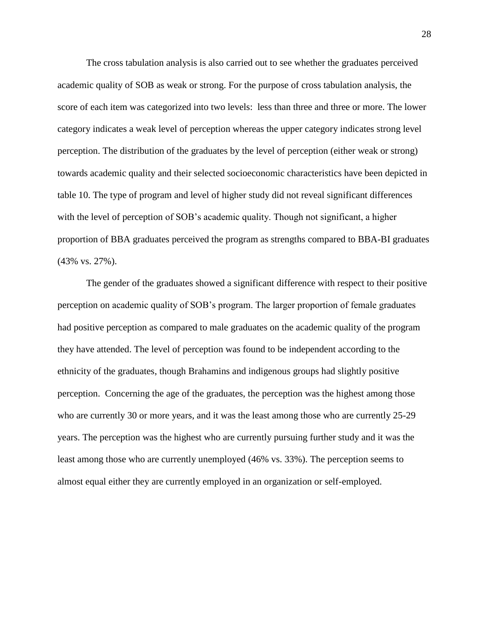The cross tabulation analysis is also carried out to see whether the graduates perceived academic quality of SOB as weak or strong. For the purpose of cross tabulation analysis, the score of each item was categorized into two levels: less than three and three or more. The lower category indicates a weak level of perception whereas the upper category indicates strong level perception. The distribution of the graduates by the level of perception (either weak or strong) towards academic quality and their selected socioeconomic characteristics have been depicted in table 10. The type of program and level of higher study did not reveal significant differences with the level of perception of SOB's academic quality. Though not significant, a higher proportion of BBA graduates perceived the program as strengths compared to BBA-BI graduates (43% vs. 27%).

The gender of the graduates showed a significant difference with respect to their positive perception on academic quality of SOB's program. The larger proportion of female graduates had positive perception as compared to male graduates on the academic quality of the program they have attended. The level of perception was found to be independent according to the ethnicity of the graduates, though Brahamins and indigenous groups had slightly positive perception. Concerning the age of the graduates, the perception was the highest among those who are currently 30 or more years, and it was the least among those who are currently 25-29 years. The perception was the highest who are currently pursuing further study and it was the least among those who are currently unemployed (46% vs. 33%). The perception seems to almost equal either they are currently employed in an organization or self-employed.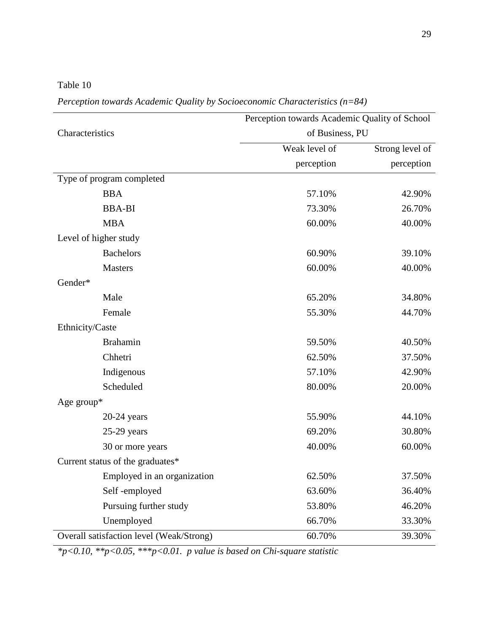Table 10

*Perception towards Academic Quality by Socioeconomic Characteristics (n=84)*

|                                          | Perception towards Academic Quality of School |                 |  |
|------------------------------------------|-----------------------------------------------|-----------------|--|
| Characteristics                          | of Business, PU                               |                 |  |
|                                          | Weak level of                                 | Strong level of |  |
|                                          | perception                                    | perception      |  |
| Type of program completed                |                                               |                 |  |
| <b>BBA</b>                               | 57.10%                                        | 42.90%          |  |
| <b>BBA-BI</b>                            | 73.30%                                        | 26.70%          |  |
| <b>MBA</b>                               | 60.00%                                        | 40.00%          |  |
| Level of higher study                    |                                               |                 |  |
| <b>Bachelors</b>                         | 60.90%                                        | 39.10%          |  |
| <b>Masters</b>                           | 60.00%                                        | 40.00%          |  |
| Gender*                                  |                                               |                 |  |
| Male                                     | 65.20%                                        | 34.80%          |  |
| Female                                   | 55.30%                                        | 44.70%          |  |
| Ethnicity/Caste                          |                                               |                 |  |
| <b>Brahamin</b>                          | 59.50%                                        | 40.50%          |  |
| Chhetri                                  | 62.50%                                        | 37.50%          |  |
| Indigenous                               | 57.10%                                        | 42.90%          |  |
| Scheduled                                | 80.00%                                        | 20.00%          |  |
| Age group $*$                            |                                               |                 |  |
| $20-24$ years                            | 55.90%                                        | 44.10%          |  |
| $25-29$ years                            | 69.20%                                        | 30.80%          |  |
| 30 or more years                         | 40.00%                                        | 60.00%          |  |
| Current status of the graduates*         |                                               |                 |  |
| Employed in an organization              | 62.50%                                        | 37.50%          |  |
| Self-employed                            | 63.60%                                        | 36.40%          |  |
| Pursuing further study                   | 53.80%                                        | 46.20%          |  |
| Unemployed                               | 66.70%                                        | 33.30%          |  |
| Overall satisfaction level (Weak/Strong) | 60.70%                                        | 39.30%          |  |

*\*p<0.10, \*\*p<0.05, \*\*\*p<0.01. p value is based on Chi-square statistic*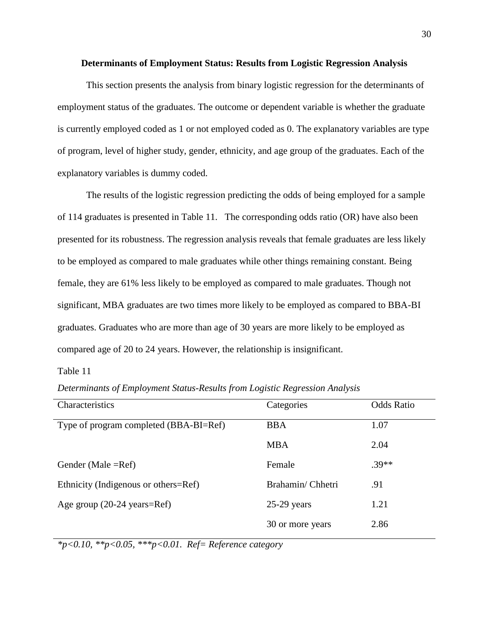### **Determinants of Employment Status: Results from Logistic Regression Analysis**

This section presents the analysis from binary logistic regression for the determinants of employment status of the graduates. The outcome or dependent variable is whether the graduate is currently employed coded as 1 or not employed coded as 0. The explanatory variables are type of program, level of higher study, gender, ethnicity, and age group of the graduates. Each of the explanatory variables is dummy coded.

The results of the logistic regression predicting the odds of being employed for a sample of 114 graduates is presented in Table 11. The corresponding odds ratio (OR) have also been presented for its robustness. The regression analysis reveals that female graduates are less likely to be employed as compared to male graduates while other things remaining constant. Being female, they are 61% less likely to be employed as compared to male graduates. Though not significant, MBA graduates are two times more likely to be employed as compared to BBA-BI graduates. Graduates who are more than age of 30 years are more likely to be employed as compared age of 20 to 24 years. However, the relationship is insignificant.

## Table 11

*Determinants of Employment Status-Results from Logistic Regression Analysis*

| Characteristics                        | Categories       | <b>Odds Ratio</b> |
|----------------------------------------|------------------|-------------------|
| Type of program completed (BBA-BI=Ref) | <b>BBA</b>       | 1.07              |
|                                        | <b>MBA</b>       | 2.04              |
| Gender (Male $=$ Ref)                  | Female           | $.39**$           |
| Ethnicity (Indigenous or others=Ref)   | Brahamin/Chhetri | .91               |
| Age group (20-24 years=Ref)            | $25-29$ years    | 1.21              |
|                                        | 30 or more years | 2.86              |

*\*p<0.10, \*\*p<0.05, \*\*\*p<0.01. Ref= Reference category*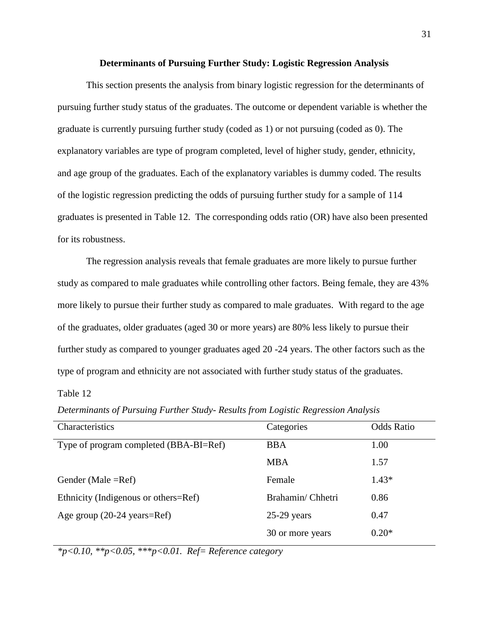### **Determinants of Pursuing Further Study: Logistic Regression Analysis**

This section presents the analysis from binary logistic regression for the determinants of pursuing further study status of the graduates. The outcome or dependent variable is whether the graduate is currently pursuing further study (coded as 1) or not pursuing (coded as 0). The explanatory variables are type of program completed, level of higher study, gender, ethnicity, and age group of the graduates. Each of the explanatory variables is dummy coded. The results of the logistic regression predicting the odds of pursuing further study for a sample of 114 graduates is presented in Table 12. The corresponding odds ratio (OR) have also been presented for its robustness.

The regression analysis reveals that female graduates are more likely to pursue further study as compared to male graduates while controlling other factors. Being female, they are 43% more likely to pursue their further study as compared to male graduates. With regard to the age of the graduates, older graduates (aged 30 or more years) are 80% less likely to pursue their further study as compared to younger graduates aged 20 -24 years. The other factors such as the type of program and ethnicity are not associated with further study status of the graduates.

## Table 12

Characteristics Categories Odds Ratio Type of program completed (BBA-BI=Ref) BBA 1.00 MBA 1.57 Gender (Male =Ref) Female 1.43\* Ethnicity (Indigenous or others=Ref) Brahamin/ Chhetri 0.86 Age group (20-24 years=Ref) 25-29 years 0.47  $30$  or more years  $0.20*$ 

*Determinants of Pursuing Further Study- Results from Logistic Regression Analysis*

*\*p<0.10, \*\*p<0.05, \*\*\*p<0.01. Ref= Reference category*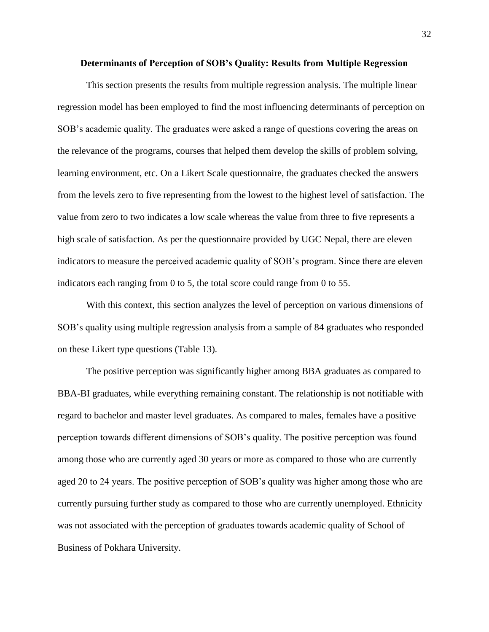#### **Determinants of Perception of SOB's Quality: Results from Multiple Regression**

This section presents the results from multiple regression analysis. The multiple linear regression model has been employed to find the most influencing determinants of perception on SOB's academic quality. The graduates were asked a range of questions covering the areas on the relevance of the programs, courses that helped them develop the skills of problem solving, learning environment, etc. On a Likert Scale questionnaire, the graduates checked the answers from the levels zero to five representing from the lowest to the highest level of satisfaction. The value from zero to two indicates a low scale whereas the value from three to five represents a high scale of satisfaction. As per the questionnaire provided by UGC Nepal, there are eleven indicators to measure the perceived academic quality of SOB's program. Since there are eleven indicators each ranging from 0 to 5, the total score could range from 0 to 55.

With this context, this section analyzes the level of perception on various dimensions of SOB's quality using multiple regression analysis from a sample of 84 graduates who responded on these Likert type questions (Table 13).

The positive perception was significantly higher among BBA graduates as compared to BBA-BI graduates, while everything remaining constant. The relationship is not notifiable with regard to bachelor and master level graduates. As compared to males, females have a positive perception towards different dimensions of SOB's quality. The positive perception was found among those who are currently aged 30 years or more as compared to those who are currently aged 20 to 24 years. The positive perception of SOB's quality was higher among those who are currently pursuing further study as compared to those who are currently unemployed. Ethnicity was not associated with the perception of graduates towards academic quality of School of Business of Pokhara University.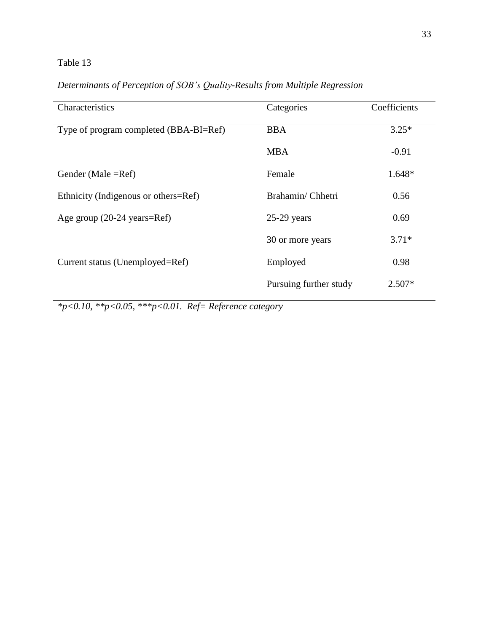## Table 13

| Characteristics                                | Categories             | Coefficients |
|------------------------------------------------|------------------------|--------------|
| Type of program completed (BBA-BI=Ref)         | <b>BBA</b>             | $3.25*$      |
|                                                | <b>MBA</b>             | $-0.91$      |
| Gender (Male $=$ Ref)                          | Female                 | 1.648*       |
| Ethnicity (Indigenous or others=Ref)           | Brahamin/Chhetri       | 0.56         |
| Age group $(20-24 \text{ years} = \text{Ref})$ | $25-29$ years          | 0.69         |
|                                                | 30 or more years       | $3.71*$      |
| Current status (Unemployed=Ref)                | Employed               | 0.98         |
|                                                | Pursuing further study | $2.507*$     |

## *Determinants of Perception of SOB's Quality-Results from Multiple Regression*

*\*p<0.10, \*\*p<0.05, \*\*\*p<0.01. Ref= Reference category*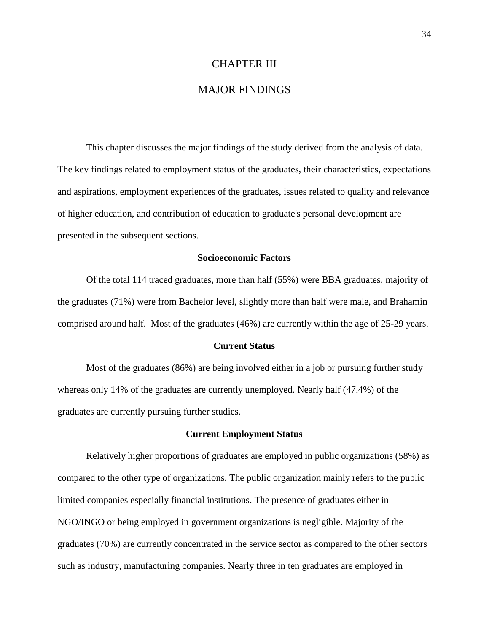## CHAPTER III

## MAJOR FINDINGS

This chapter discusses the major findings of the study derived from the analysis of data. The key findings related to employment status of the graduates, their characteristics, expectations and aspirations, employment experiences of the graduates, issues related to quality and relevance of higher education, and contribution of education to graduate's personal development are presented in the subsequent sections.

#### **Socioeconomic Factors**

Of the total 114 traced graduates, more than half (55%) were BBA graduates, majority of the graduates (71%) were from Bachelor level, slightly more than half were male, and Brahamin comprised around half. Most of the graduates (46%) are currently within the age of 25-29 years.

#### **Current Status**

Most of the graduates (86%) are being involved either in a job or pursuing further study whereas only 14% of the graduates are currently unemployed. Nearly half (47.4%) of the graduates are currently pursuing further studies.

## **Current Employment Status**

Relatively higher proportions of graduates are employed in public organizations (58%) as compared to the other type of organizations. The public organization mainly refers to the public limited companies especially financial institutions. The presence of graduates either in NGO/INGO or being employed in government organizations is negligible. Majority of the graduates (70%) are currently concentrated in the service sector as compared to the other sectors such as industry, manufacturing companies. Nearly three in ten graduates are employed in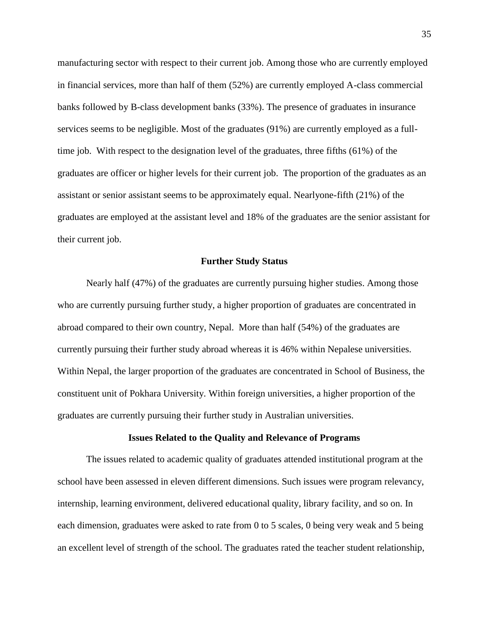manufacturing sector with respect to their current job. Among those who are currently employed in financial services, more than half of them (52%) are currently employed A-class commercial banks followed by B-class development banks (33%). The presence of graduates in insurance services seems to be negligible. Most of the graduates (91%) are currently employed as a fulltime job. With respect to the designation level of the graduates, three fifths (61%) of the graduates are officer or higher levels for their current job. The proportion of the graduates as an assistant or senior assistant seems to be approximately equal. Nearlyone-fifth (21%) of the graduates are employed at the assistant level and 18% of the graduates are the senior assistant for their current job.

### **Further Study Status**

Nearly half (47%) of the graduates are currently pursuing higher studies. Among those who are currently pursuing further study, a higher proportion of graduates are concentrated in abroad compared to their own country, Nepal. More than half (54%) of the graduates are currently pursuing their further study abroad whereas it is 46% within Nepalese universities. Within Nepal, the larger proportion of the graduates are concentrated in School of Business, the constituent unit of Pokhara University*.* Within foreign universities, a higher proportion of the graduates are currently pursuing their further study in Australian universities.

### **Issues Related to the Quality and Relevance of Programs**

The issues related to academic quality of graduates attended institutional program at the school have been assessed in eleven different dimensions. Such issues were program relevancy, internship, learning environment, delivered educational quality, library facility, and so on. In each dimension, graduates were asked to rate from 0 to 5 scales, 0 being very weak and 5 being an excellent level of strength of the school. The graduates rated the teacher student relationship,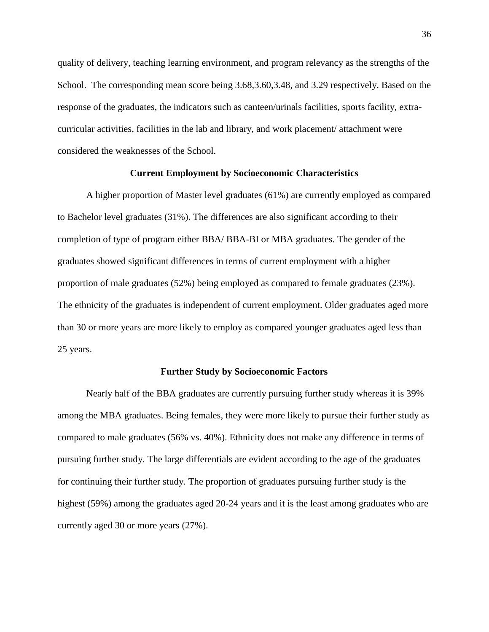quality of delivery, teaching learning environment, and program relevancy as the strengths of the School. The corresponding mean score being 3.68,3.60,3.48, and 3.29 respectively. Based on the response of the graduates, the indicators such as canteen/urinals facilities, sports facility, extracurricular activities, facilities in the lab and library, and work placement/ attachment were considered the weaknesses of the School.

### **Current Employment by Socioeconomic Characteristics**

A higher proportion of Master level graduates (61%) are currently employed as compared to Bachelor level graduates (31%). The differences are also significant according to their completion of type of program either BBA/ BBA-BI or MBA graduates. The gender of the graduates showed significant differences in terms of current employment with a higher proportion of male graduates (52%) being employed as compared to female graduates (23%). The ethnicity of the graduates is independent of current employment. Older graduates aged more than 30 or more years are more likely to employ as compared younger graduates aged less than 25 years.

### **Further Study by Socioeconomic Factors**

Nearly half of the BBA graduates are currently pursuing further study whereas it is 39% among the MBA graduates. Being females, they were more likely to pursue their further study as compared to male graduates (56% vs. 40%). Ethnicity does not make any difference in terms of pursuing further study. The large differentials are evident according to the age of the graduates for continuing their further study. The proportion of graduates pursuing further study is the highest (59%) among the graduates aged 20-24 years and it is the least among graduates who are currently aged 30 or more years (27%).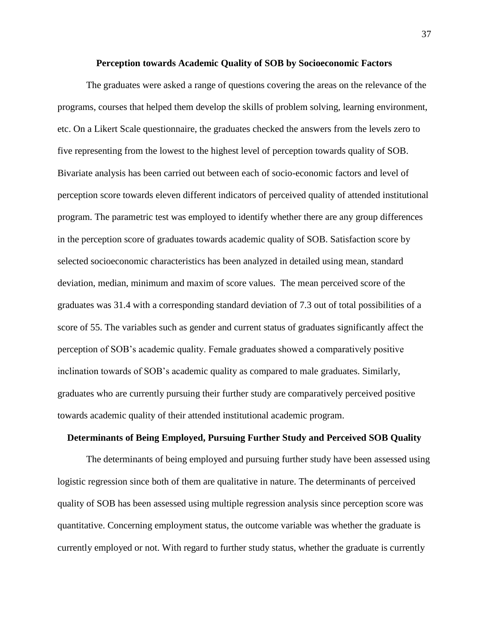### **Perception towards Academic Quality of SOB by Socioeconomic Factors**

The graduates were asked a range of questions covering the areas on the relevance of the programs, courses that helped them develop the skills of problem solving, learning environment, etc. On a Likert Scale questionnaire, the graduates checked the answers from the levels zero to five representing from the lowest to the highest level of perception towards quality of SOB. Bivariate analysis has been carried out between each of socio-economic factors and level of perception score towards eleven different indicators of perceived quality of attended institutional program. The parametric test was employed to identify whether there are any group differences in the perception score of graduates towards academic quality of SOB. Satisfaction score by selected socioeconomic characteristics has been analyzed in detailed using mean, standard deviation, median, minimum and maxim of score values. The mean perceived score of the graduates was 31.4 with a corresponding standard deviation of 7.3 out of total possibilities of a score of 55. The variables such as gender and current status of graduates significantly affect the perception of SOB's academic quality. Female graduates showed a comparatively positive inclination towards of SOB's academic quality as compared to male graduates. Similarly, graduates who are currently pursuing their further study are comparatively perceived positive towards academic quality of their attended institutional academic program.

### **Determinants of Being Employed, Pursuing Further Study and Perceived SOB Quality**

The determinants of being employed and pursuing further study have been assessed using logistic regression since both of them are qualitative in nature. The determinants of perceived quality of SOB has been assessed using multiple regression analysis since perception score was quantitative. Concerning employment status, the outcome variable was whether the graduate is currently employed or not. With regard to further study status, whether the graduate is currently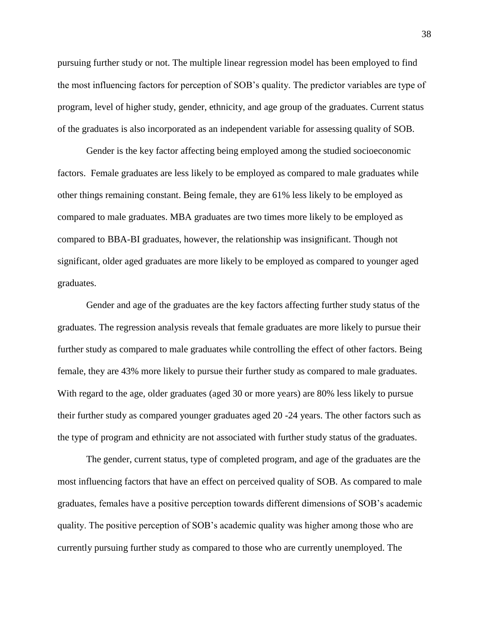pursuing further study or not. The multiple linear regression model has been employed to find the most influencing factors for perception of SOB's quality. The predictor variables are type of program, level of higher study, gender, ethnicity, and age group of the graduates. Current status of the graduates is also incorporated as an independent variable for assessing quality of SOB.

Gender is the key factor affecting being employed among the studied socioeconomic factors. Female graduates are less likely to be employed as compared to male graduates while other things remaining constant. Being female, they are 61% less likely to be employed as compared to male graduates. MBA graduates are two times more likely to be employed as compared to BBA-BI graduates, however, the relationship was insignificant. Though not significant, older aged graduates are more likely to be employed as compared to younger aged graduates.

Gender and age of the graduates are the key factors affecting further study status of the graduates. The regression analysis reveals that female graduates are more likely to pursue their further study as compared to male graduates while controlling the effect of other factors. Being female, they are 43% more likely to pursue their further study as compared to male graduates. With regard to the age, older graduates (aged 30 or more years) are 80% less likely to pursue their further study as compared younger graduates aged 20 -24 years. The other factors such as the type of program and ethnicity are not associated with further study status of the graduates.

The gender, current status, type of completed program, and age of the graduates are the most influencing factors that have an effect on perceived quality of SOB. As compared to male graduates, females have a positive perception towards different dimensions of SOB's academic quality. The positive perception of SOB's academic quality was higher among those who are currently pursuing further study as compared to those who are currently unemployed. The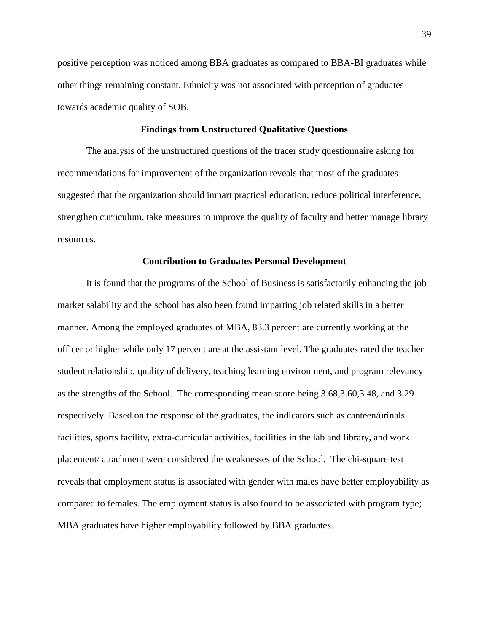positive perception was noticed among BBA graduates as compared to BBA-BI graduates while other things remaining constant. Ethnicity was not associated with perception of graduates towards academic quality of SOB.

## **Findings from Unstructured Qualitative Questions**

The analysis of the unstructured questions of the tracer study questionnaire asking for recommendations for improvement of the organization reveals that most of the graduates suggested that the organization should impart practical education, reduce political interference, strengthen curriculum, take measures to improve the quality of faculty and better manage library resources.

## **Contribution to Graduates Personal Development**

It is found that the programs of the School of Business is satisfactorily enhancing the job market salability and the school has also been found imparting job related skills in a better manner. Among the employed graduates of MBA, 83.3 percent are currently working at the officer or higher while only 17 percent are at the assistant level. The graduates rated the teacher student relationship, quality of delivery, teaching learning environment, and program relevancy as the strengths of the School. The corresponding mean score being 3.68,3.60,3.48, and 3.29 respectively. Based on the response of the graduates, the indicators such as canteen/urinals facilities, sports facility, extra-curricular activities, facilities in the lab and library, and work placement/ attachment were considered the weaknesses of the School. The chi-square test reveals that employment status is associated with gender with males have better employability as compared to females. The employment status is also found to be associated with program type; MBA graduates have higher employability followed by BBA graduates.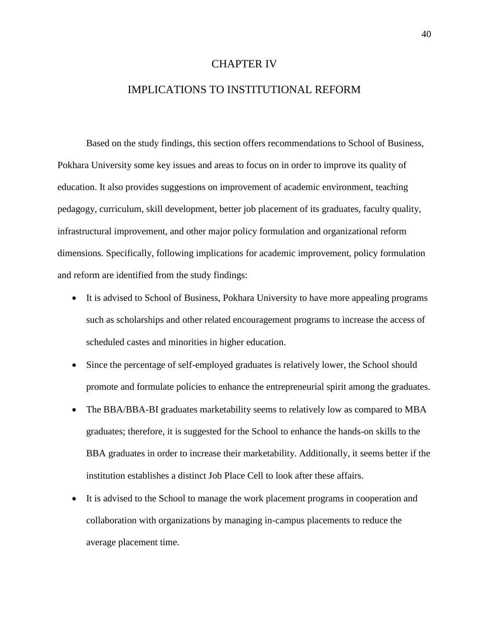## CHAPTER IV

## IMPLICATIONS TO INSTITUTIONAL REFORM

Based on the study findings, this section offers recommendations to School of Business, Pokhara University some key issues and areas to focus on in order to improve its quality of education. It also provides suggestions on improvement of academic environment, teaching pedagogy, curriculum, skill development, better job placement of its graduates, faculty quality, infrastructural improvement, and other major policy formulation and organizational reform dimensions. Specifically, following implications for academic improvement, policy formulation and reform are identified from the study findings:

- It is advised to School of Business, Pokhara University to have more appealing programs such as scholarships and other related encouragement programs to increase the access of scheduled castes and minorities in higher education.
- Since the percentage of self-employed graduates is relatively lower, the School should promote and formulate policies to enhance the entrepreneurial spirit among the graduates.
- The BBA/BBA-BI graduates marketability seems to relatively low as compared to MBA graduates; therefore, it is suggested for the School to enhance the hands-on skills to the BBA graduates in order to increase their marketability. Additionally, it seems better if the institution establishes a distinct Job Place Cell to look after these affairs.
- It is advised to the School to manage the work placement programs in cooperation and collaboration with organizations by managing in-campus placements to reduce the average placement time.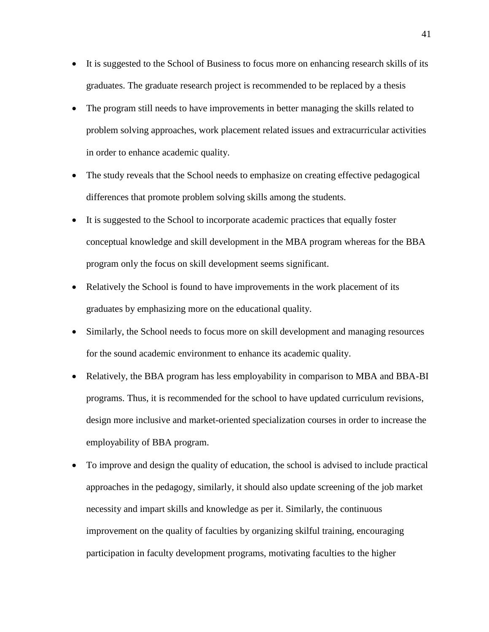- It is suggested to the School of Business to focus more on enhancing research skills of its graduates. The graduate research project is recommended to be replaced by a thesis
- The program still needs to have improvements in better managing the skills related to problem solving approaches, work placement related issues and extracurricular activities in order to enhance academic quality.
- The study reveals that the School needs to emphasize on creating effective pedagogical differences that promote problem solving skills among the students.
- It is suggested to the School to incorporate academic practices that equally foster conceptual knowledge and skill development in the MBA program whereas for the BBA program only the focus on skill development seems significant.
- Relatively the School is found to have improvements in the work placement of its graduates by emphasizing more on the educational quality.
- Similarly, the School needs to focus more on skill development and managing resources for the sound academic environment to enhance its academic quality.
- Relatively, the BBA program has less employability in comparison to MBA and BBA-BI programs. Thus, it is recommended for the school to have updated curriculum revisions, design more inclusive and market-oriented specialization courses in order to increase the employability of BBA program.
- To improve and design the quality of education, the school is advised to include practical approaches in the pedagogy, similarly, it should also update screening of the job market necessity and impart skills and knowledge as per it. Similarly, the continuous improvement on the quality of faculties by organizing skilful training, encouraging participation in faculty development programs, motivating faculties to the higher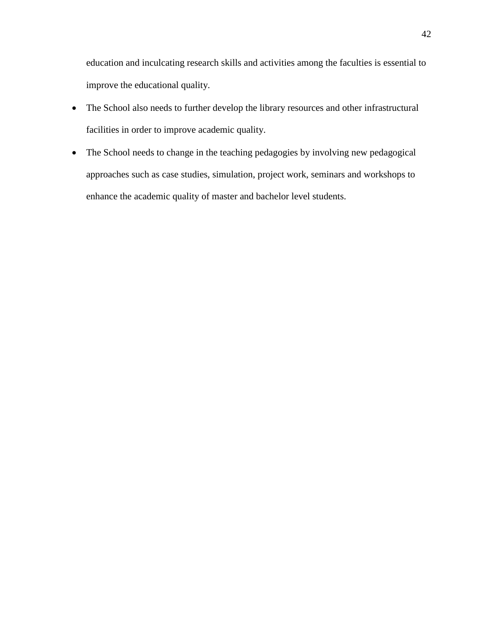education and inculcating research skills and activities among the faculties is essential to improve the educational quality.

- The School also needs to further develop the library resources and other infrastructural facilities in order to improve academic quality.
- The School needs to change in the teaching pedagogies by involving new pedagogical approaches such as case studies, simulation, project work, seminars and workshops to enhance the academic quality of master and bachelor level students.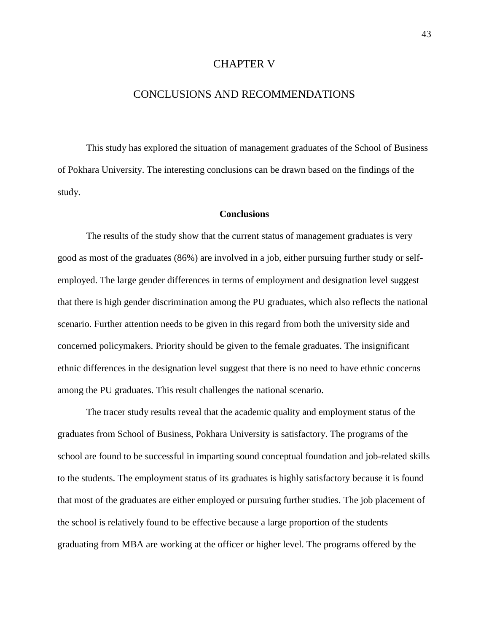## CHAPTER V

## CONCLUSIONS AND RECOMMENDATIONS

This study has explored the situation of management graduates of the School of Business of Pokhara University. The interesting conclusions can be drawn based on the findings of the study.

### **Conclusions**

The results of the study show that the current status of management graduates is very good as most of the graduates (86%) are involved in a job, either pursuing further study or selfemployed. The large gender differences in terms of employment and designation level suggest that there is high gender discrimination among the PU graduates, which also reflects the national scenario. Further attention needs to be given in this regard from both the university side and concerned policymakers. Priority should be given to the female graduates. The insignificant ethnic differences in the designation level suggest that there is no need to have ethnic concerns among the PU graduates. This result challenges the national scenario.

The tracer study results reveal that the academic quality and employment status of the graduates from School of Business, Pokhara University is satisfactory. The programs of the school are found to be successful in imparting sound conceptual foundation and job-related skills to the students. The employment status of its graduates is highly satisfactory because it is found that most of the graduates are either employed or pursuing further studies. The job placement of the school is relatively found to be effective because a large proportion of the students graduating from MBA are working at the officer or higher level. The programs offered by the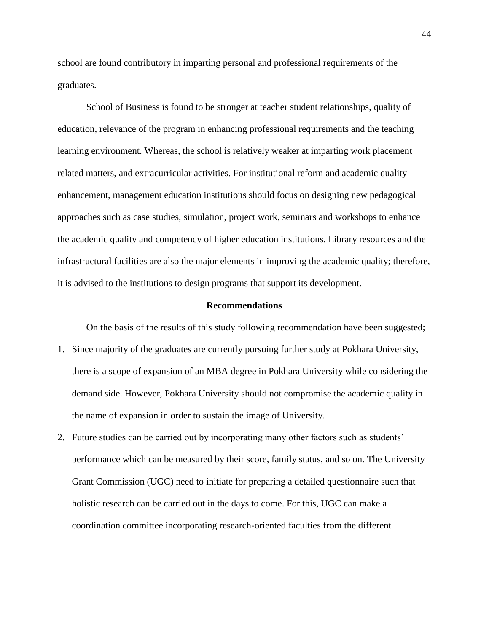school are found contributory in imparting personal and professional requirements of the graduates.

School of Business is found to be stronger at teacher student relationships, quality of education, relevance of the program in enhancing professional requirements and the teaching learning environment. Whereas, the school is relatively weaker at imparting work placement related matters, and extracurricular activities. For institutional reform and academic quality enhancement, management education institutions should focus on designing new pedagogical approaches such as case studies, simulation, project work, seminars and workshops to enhance the academic quality and competency of higher education institutions. Library resources and the infrastructural facilities are also the major elements in improving the academic quality; therefore, it is advised to the institutions to design programs that support its development.

### **Recommendations**

On the basis of the results of this study following recommendation have been suggested;

- 1. Since majority of the graduates are currently pursuing further study at Pokhara University, there is a scope of expansion of an MBA degree in Pokhara University while considering the demand side. However, Pokhara University should not compromise the academic quality in the name of expansion in order to sustain the image of University.
- 2. Future studies can be carried out by incorporating many other factors such as students' performance which can be measured by their score, family status, and so on. The University Grant Commission (UGC) need to initiate for preparing a detailed questionnaire such that holistic research can be carried out in the days to come. For this, UGC can make a coordination committee incorporating research-oriented faculties from the different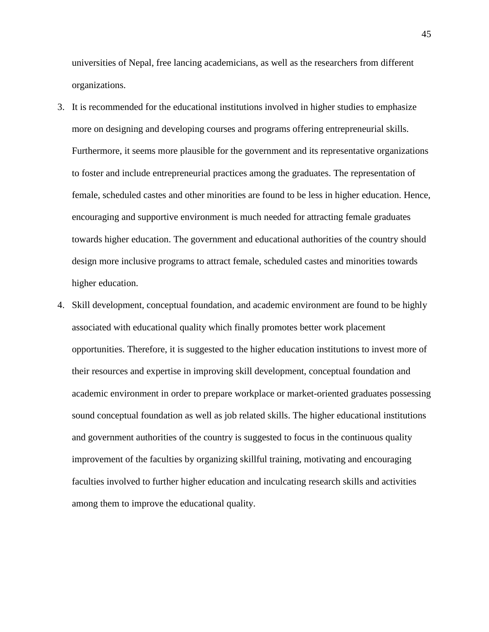universities of Nepal, free lancing academicians, as well as the researchers from different organizations.

- 3. It is recommended for the educational institutions involved in higher studies to emphasize more on designing and developing courses and programs offering entrepreneurial skills. Furthermore, it seems more plausible for the government and its representative organizations to foster and include entrepreneurial practices among the graduates. The representation of female, scheduled castes and other minorities are found to be less in higher education. Hence, encouraging and supportive environment is much needed for attracting female graduates towards higher education. The government and educational authorities of the country should design more inclusive programs to attract female, scheduled castes and minorities towards higher education.
- 4. Skill development, conceptual foundation, and academic environment are found to be highly associated with educational quality which finally promotes better work placement opportunities. Therefore, it is suggested to the higher education institutions to invest more of their resources and expertise in improving skill development, conceptual foundation and academic environment in order to prepare workplace or market-oriented graduates possessing sound conceptual foundation as well as job related skills. The higher educational institutions and government authorities of the country is suggested to focus in the continuous quality improvement of the faculties by organizing skillful training, motivating and encouraging faculties involved to further higher education and inculcating research skills and activities among them to improve the educational quality.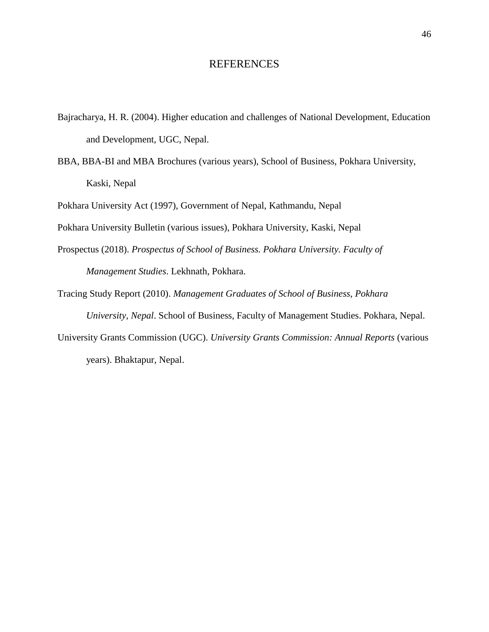## REFERENCES

- Bajracharya, H. R. (2004). Higher education and challenges of National Development, Education and Development, UGC, Nepal.
- BBA, BBA-BI and MBA Brochures (various years), School of Business, Pokhara University, Kaski, Nepal

Pokhara University Act (1997), Government of Nepal, Kathmandu, Nepal

Pokhara University Bulletin (various issues), Pokhara University, Kaski, Nepal

- Prospectus (2018). *Prospectus of School of Business. Pokhara University. Faculty of Management Studies*. Lekhnath, Pokhara.
- Tracing Study Report (2010). *Management Graduates of School of Business, Pokhara*

*University, Nepal*. School of Business, Faculty of Management Studies. Pokhara, Nepal.

University Grants Commission (UGC). *University Grants Commission: Annual Reports* (various years). Bhaktapur, Nepal.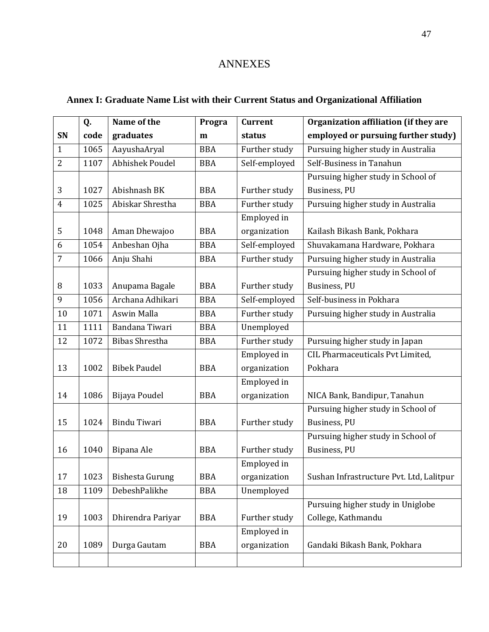# ANNEXES

# **Annex I: Graduate Name List with their Current Status and Organizational Affiliation**

|                | Q.   | Name of the            | Progra     | <b>Current</b> | Organization affiliation (if they are    |
|----------------|------|------------------------|------------|----------------|------------------------------------------|
| SN             | code | graduates              | m          | status         | employed or pursuing further study)      |
| $\mathbf{1}$   | 1065 | AayushaAryal           | <b>BBA</b> | Further study  | Pursuing higher study in Australia       |
| $\overline{2}$ | 1107 | <b>Abhishek Poudel</b> | <b>BBA</b> | Self-employed  | Self-Business in Tanahun                 |
|                |      |                        |            |                | Pursuing higher study in School of       |
| 3              | 1027 | Abishnash BK           | <b>BBA</b> | Further study  | Business, PU                             |
| $\overline{4}$ | 1025 | Abiskar Shrestha       | <b>BBA</b> | Further study  | Pursuing higher study in Australia       |
|                |      |                        |            | Employed in    |                                          |
| 5              | 1048 | Aman Dhewajoo          | <b>BBA</b> | organization   | Kailash Bikash Bank, Pokhara             |
| 6              | 1054 | Anbeshan Ojha          | <b>BBA</b> | Self-employed  | Shuvakamana Hardware, Pokhara            |
| $\overline{7}$ | 1066 | Anju Shahi             | <b>BBA</b> | Further study  | Pursuing higher study in Australia       |
|                |      |                        |            |                | Pursuing higher study in School of       |
| 8              | 1033 | Anupama Bagale         | <b>BBA</b> | Further study  | Business, PU                             |
| 9              | 1056 | Archana Adhikari       | <b>BBA</b> | Self-employed  | Self-business in Pokhara                 |
| 10             | 1071 | Aswin Malla            | <b>BBA</b> | Further study  | Pursuing higher study in Australia       |
| 11             | 1111 | Bandana Tiwari         | <b>BBA</b> | Unemployed     |                                          |
| 12             | 1072 | <b>Bibas Shrestha</b>  | <b>BBA</b> | Further study  | Pursuing higher study in Japan           |
|                |      |                        |            | Employed in    | CIL Pharmaceuticals Pvt Limited,         |
| 13             | 1002 | <b>Bibek Paudel</b>    | <b>BBA</b> | organization   | Pokhara                                  |
|                |      |                        |            | Employed in    |                                          |
| 14             | 1086 | Bijaya Poudel          | <b>BBA</b> | organization   | NICA Bank, Bandipur, Tanahun             |
|                |      |                        |            |                | Pursuing higher study in School of       |
| 15             | 1024 | Bindu Tiwari           | <b>BBA</b> | Further study  | Business, PU                             |
|                |      |                        |            |                | Pursuing higher study in School of       |
| 16             | 1040 | Bipana Ale             | <b>BBA</b> | Further study  | Business, PU                             |
|                |      |                        |            | Employed in    |                                          |
| 17             | 1023 | <b>Bishesta Gurung</b> | <b>BBA</b> | organization   | Sushan Infrastructure Pvt. Ltd, Lalitpur |
| 18             | 1109 | DebeshPalikhe          | <b>BBA</b> | Unemployed     |                                          |
|                |      |                        |            |                | Pursuing higher study in Uniglobe        |
| 19             | 1003 | Dhirendra Pariyar      | <b>BBA</b> | Further study  | College, Kathmandu                       |
|                |      |                        |            | Employed in    |                                          |
| 20             | 1089 | Durga Gautam           | <b>BBA</b> | organization   | Gandaki Bikash Bank, Pokhara             |
|                |      |                        |            |                |                                          |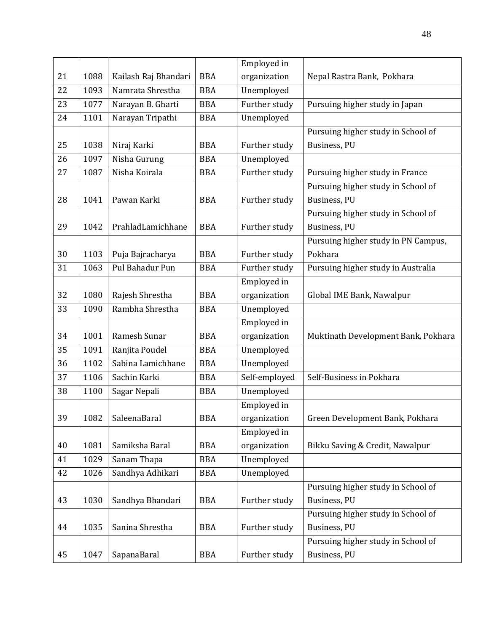|    |      |                      |            | Employed in   |                                     |
|----|------|----------------------|------------|---------------|-------------------------------------|
| 21 | 1088 | Kailash Raj Bhandari | <b>BBA</b> | organization  | Nepal Rastra Bank, Pokhara          |
| 22 | 1093 | Namrata Shrestha     | <b>BBA</b> | Unemployed    |                                     |
| 23 | 1077 | Narayan B. Gharti    | <b>BBA</b> | Further study | Pursuing higher study in Japan      |
| 24 | 1101 | Narayan Tripathi     | <b>BBA</b> | Unemployed    |                                     |
|    |      |                      |            |               | Pursuing higher study in School of  |
| 25 | 1038 | Niraj Karki          | <b>BBA</b> | Further study | Business, PU                        |
| 26 | 1097 | Nisha Gurung         | <b>BBA</b> | Unemployed    |                                     |
| 27 | 1087 | Nisha Koirala        | <b>BBA</b> | Further study | Pursuing higher study in France     |
|    |      |                      |            |               | Pursuing higher study in School of  |
| 28 | 1041 | Pawan Karki          | <b>BBA</b> | Further study | Business, PU                        |
|    |      |                      |            |               | Pursuing higher study in School of  |
| 29 | 1042 | PrahladLamichhane    | <b>BBA</b> | Further study | Business, PU                        |
|    |      |                      |            |               | Pursuing higher study in PN Campus, |
| 30 | 1103 | Puja Bajracharya     | <b>BBA</b> | Further study | Pokhara                             |
| 31 | 1063 | Pul Bahadur Pun      | <b>BBA</b> | Further study | Pursuing higher study in Australia  |
|    |      |                      |            | Employed in   |                                     |
| 32 | 1080 | Rajesh Shrestha      | <b>BBA</b> | organization  | Global IME Bank, Nawalpur           |
| 33 | 1090 | Rambha Shrestha      | <b>BBA</b> | Unemployed    |                                     |
|    |      |                      |            | Employed in   |                                     |
| 34 | 1001 | Ramesh Sunar         | <b>BBA</b> | organization  | Muktinath Development Bank, Pokhara |
| 35 | 1091 | Ranjita Poudel       | <b>BBA</b> | Unemployed    |                                     |
| 36 | 1102 | Sabina Lamichhane    | <b>BBA</b> | Unemployed    |                                     |
| 37 | 1106 | Sachin Karki         | <b>BBA</b> | Self-employed | Self-Business in Pokhara            |
| 38 | 1100 | Sagar Nepali         | <b>BBA</b> | Unemployed    |                                     |
|    |      |                      |            | Employed in   |                                     |
| 39 | 1082 | SaleenaBaral         | <b>BBA</b> | organization  | Green Development Bank, Pokhara     |
|    |      |                      |            | Employed in   |                                     |
| 40 | 1081 | Samiksha Baral       | <b>BBA</b> | organization  | Bikku Saving & Credit, Nawalpur     |
| 41 | 1029 | Sanam Thapa          | <b>BBA</b> | Unemployed    |                                     |
| 42 | 1026 | Sandhya Adhikari     | <b>BBA</b> | Unemployed    |                                     |
|    |      |                      |            |               | Pursuing higher study in School of  |
| 43 | 1030 | Sandhya Bhandari     | <b>BBA</b> | Further study | Business, PU                        |
|    |      |                      |            |               | Pursuing higher study in School of  |
| 44 | 1035 | Sanina Shrestha      | <b>BBA</b> | Further study | Business, PU                        |
|    |      |                      |            |               | Pursuing higher study in School of  |
| 45 | 1047 | SapanaBaral          | <b>BBA</b> | Further study | Business, PU                        |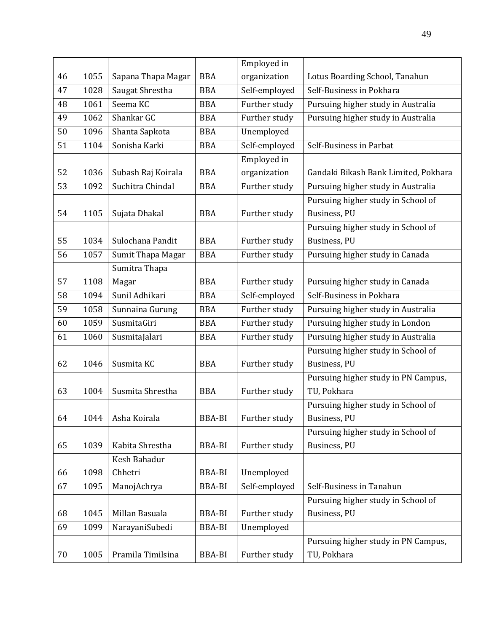|    |      |                    |               | Employed in   |                                      |
|----|------|--------------------|---------------|---------------|--------------------------------------|
| 46 | 1055 | Sapana Thapa Magar | <b>BBA</b>    | organization  | Lotus Boarding School, Tanahun       |
| 47 | 1028 | Saugat Shrestha    | <b>BBA</b>    | Self-employed | Self-Business in Pokhara             |
| 48 | 1061 | Seema KC           | <b>BBA</b>    | Further study | Pursuing higher study in Australia   |
| 49 | 1062 | Shankar GC         | <b>BBA</b>    | Further study | Pursuing higher study in Australia   |
| 50 | 1096 | Shanta Sapkota     | <b>BBA</b>    | Unemployed    |                                      |
| 51 | 1104 | Sonisha Karki      | <b>BBA</b>    | Self-employed | Self-Business in Parbat              |
|    |      |                    |               | Employed in   |                                      |
| 52 | 1036 | Subash Raj Koirala | <b>BBA</b>    | organization  | Gandaki Bikash Bank Limited, Pokhara |
| 53 | 1092 | Suchitra Chindal   | <b>BBA</b>    | Further study | Pursuing higher study in Australia   |
|    |      |                    |               |               | Pursuing higher study in School of   |
| 54 | 1105 | Sujata Dhakal      | <b>BBA</b>    | Further study | Business, PU                         |
|    |      |                    |               |               | Pursuing higher study in School of   |
| 55 | 1034 | Sulochana Pandit   | <b>BBA</b>    | Further study | Business, PU                         |
| 56 | 1057 | Sumit Thapa Magar  | <b>BBA</b>    | Further study | Pursuing higher study in Canada      |
|    |      | Sumitra Thapa      |               |               |                                      |
| 57 | 1108 | Magar              | <b>BBA</b>    | Further study | Pursuing higher study in Canada      |
| 58 | 1094 | Sunil Adhikari     | <b>BBA</b>    | Self-employed | Self-Business in Pokhara             |
| 59 | 1058 | Sunnaina Gurung    | <b>BBA</b>    | Further study | Pursuing higher study in Australia   |
| 60 | 1059 | SusmitaGiri        | <b>BBA</b>    | Further study | Pursuing higher study in London      |
| 61 | 1060 | SusmitaJalari      | <b>BBA</b>    | Further study | Pursuing higher study in Australia   |
|    |      |                    |               |               | Pursuing higher study in School of   |
| 62 | 1046 | Susmita KC         | <b>BBA</b>    | Further study | Business, PU                         |
|    |      |                    |               |               | Pursuing higher study in PN Campus,  |
| 63 | 1004 | Susmita Shrestha   | <b>BBA</b>    | Further study | TU, Pokhara                          |
|    |      |                    |               |               | Pursuing higher study in School of   |
| 64 | 1044 | Asha Koirala       | <b>BBA-BI</b> | Further study | Business, PU                         |
|    |      |                    |               |               | Pursuing higher study in School of   |
| 65 | 1039 | Kabita Shrestha    | <b>BBA-BI</b> | Further study | Business, PU                         |
|    |      | Kesh Bahadur       |               |               |                                      |
| 66 | 1098 | Chhetri            | BBA-BI        | Unemployed    |                                      |
| 67 | 1095 | ManojAchrya        | <b>BBA-BI</b> | Self-employed | Self-Business in Tanahun             |
|    |      |                    |               |               | Pursuing higher study in School of   |
| 68 | 1045 | Millan Basuala     | <b>BBA-BI</b> | Further study | Business, PU                         |
| 69 | 1099 | NarayaniSubedi     | <b>BBA-BI</b> | Unemployed    |                                      |
|    |      |                    |               |               | Pursuing higher study in PN Campus,  |
| 70 | 1005 | Pramila Timilsina  | BBA-BI        | Further study | TU, Pokhara                          |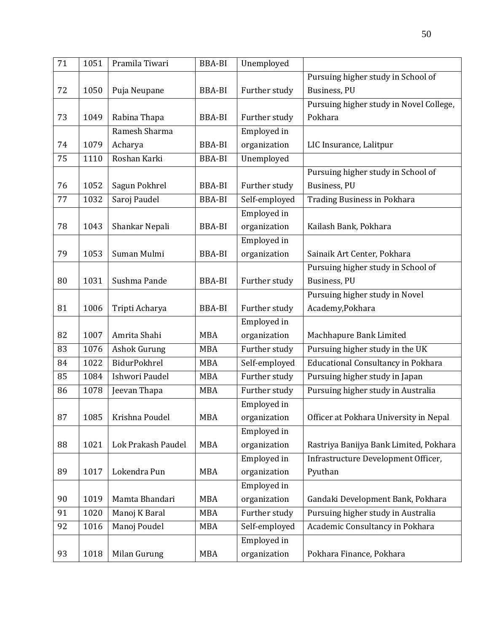| 71 | 1051 | Pramila Tiwari     | <b>BBA-BI</b> | Unemployed    |                                           |
|----|------|--------------------|---------------|---------------|-------------------------------------------|
|    |      |                    |               |               | Pursuing higher study in School of        |
| 72 | 1050 | Puja Neupane       | BBA-BI        | Further study | Business, PU                              |
|    |      |                    |               |               | Pursuing higher study in Novel College,   |
| 73 | 1049 | Rabina Thapa       | <b>BBA-BI</b> | Further study | Pokhara                                   |
|    |      | Ramesh Sharma      |               | Employed in   |                                           |
| 74 | 1079 | Acharya            | <b>BBA-BI</b> | organization  | LIC Insurance, Lalitpur                   |
| 75 | 1110 | Roshan Karki       | <b>BBA-BI</b> | Unemployed    |                                           |
|    |      |                    |               |               | Pursuing higher study in School of        |
| 76 | 1052 | Sagun Pokhrel      | <b>BBA-BI</b> | Further study | Business, PU                              |
| 77 | 1032 | Saroj Paudel       | <b>BBA-BI</b> | Self-employed | <b>Trading Business in Pokhara</b>        |
|    |      |                    |               | Employed in   |                                           |
| 78 | 1043 | Shankar Nepali     | <b>BBA-BI</b> | organization  | Kailash Bank, Pokhara                     |
|    |      |                    |               | Employed in   |                                           |
| 79 | 1053 | Suman Mulmi        | <b>BBA-BI</b> | organization  | Sainaik Art Center, Pokhara               |
|    |      |                    |               |               | Pursuing higher study in School of        |
| 80 | 1031 | Sushma Pande       | <b>BBA-BI</b> | Further study | Business, PU                              |
|    |      |                    |               |               | Pursuing higher study in Novel            |
| 81 | 1006 | Tripti Acharya     | BBA-BI        | Further study | Academy, Pokhara                          |
|    |      |                    |               | Employed in   |                                           |
| 82 | 1007 | Amrita Shahi       | <b>MBA</b>    | organization  | Machhapure Bank Limited                   |
| 83 | 1076 | Ashok Gurung       | <b>MBA</b>    | Further study | Pursuing higher study in the UK           |
| 84 | 1022 | BidurPokhrel       | <b>MBA</b>    | Self-employed | <b>Educational Consultancy in Pokhara</b> |
| 85 | 1084 | Ishwori Paudel     | <b>MBA</b>    | Further study | Pursuing higher study in Japan            |
| 86 | 1078 | Jeevan Thapa       | <b>MBA</b>    | Further study | Pursuing higher study in Australia        |
|    |      |                    |               | Employed in   |                                           |
| 87 | 1085 | Krishna Poudel     | MBA           | organization  | Officer at Pokhara University in Nepal    |
|    |      |                    |               | Employed in   |                                           |
| 88 | 1021 | Lok Prakash Paudel | <b>MBA</b>    | organization  | Rastriya Banijya Bank Limited, Pokhara    |
|    |      |                    |               | Employed in   | Infrastructure Development Officer,       |
| 89 | 1017 | Lokendra Pun       | <b>MBA</b>    | organization  | Pyuthan                                   |
|    |      |                    |               | Employed in   |                                           |
| 90 | 1019 | Mamta Bhandari     | MBA           | organization  | Gandaki Development Bank, Pokhara         |
| 91 | 1020 | Manoj K Baral      | <b>MBA</b>    | Further study | Pursuing higher study in Australia        |
| 92 | 1016 | Manoj Poudel       | <b>MBA</b>    | Self-employed | Academic Consultancy in Pokhara           |
|    |      |                    |               | Employed in   |                                           |
| 93 | 1018 | Milan Gurung       | <b>MBA</b>    | organization  | Pokhara Finance, Pokhara                  |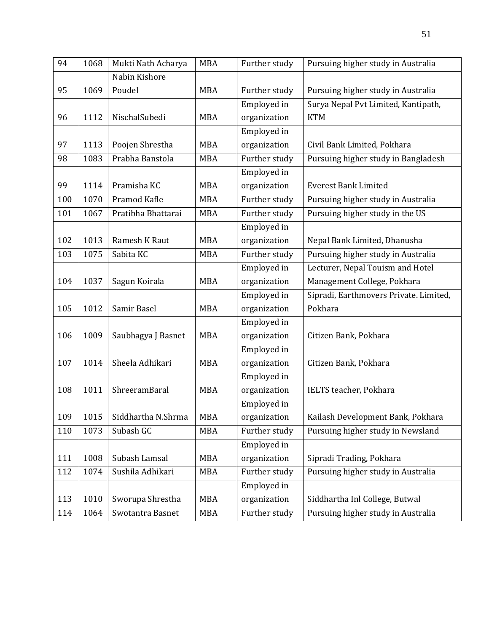| 94  | 1068 | Mukti Nath Acharya | <b>MBA</b> | Further study | Pursuing higher study in Australia     |
|-----|------|--------------------|------------|---------------|----------------------------------------|
|     |      | Nabin Kishore      |            |               |                                        |
| 95  | 1069 | Poudel             | <b>MBA</b> | Further study | Pursuing higher study in Australia     |
|     |      |                    |            | Employed in   | Surya Nepal Pvt Limited, Kantipath,    |
| 96  | 1112 | NischalSubedi      | <b>MBA</b> | organization  | <b>KTM</b>                             |
|     |      |                    |            | Employed in   |                                        |
| 97  | 1113 | Poojen Shrestha    | <b>MBA</b> | organization  | Civil Bank Limited, Pokhara            |
| 98  | 1083 | Prabha Banstola    | <b>MBA</b> | Further study | Pursuing higher study in Bangladesh    |
|     |      |                    |            | Employed in   |                                        |
| 99  | 1114 | Pramisha KC        | <b>MBA</b> | organization  | <b>Everest Bank Limited</b>            |
| 100 | 1070 | Pramod Kafle       | <b>MBA</b> | Further study | Pursuing higher study in Australia     |
| 101 | 1067 | Pratibha Bhattarai | <b>MBA</b> | Further study | Pursuing higher study in the US        |
|     |      |                    |            | Employed in   |                                        |
| 102 | 1013 | Ramesh K Raut      | <b>MBA</b> | organization  | Nepal Bank Limited, Dhanusha           |
| 103 | 1075 | Sabita KC          | <b>MBA</b> | Further study | Pursuing higher study in Australia     |
|     |      |                    |            | Employed in   | Lecturer, Nepal Touism and Hotel       |
| 104 | 1037 | Sagun Koirala      | <b>MBA</b> | organization  | Management College, Pokhara            |
|     |      |                    |            | Employed in   | Sipradi, Earthmovers Private. Limited, |
| 105 | 1012 | Samir Basel        | <b>MBA</b> | organization  | Pokhara                                |
|     |      |                    |            | Employed in   |                                        |
| 106 | 1009 | Saubhagya J Basnet | <b>MBA</b> | organization  | Citizen Bank, Pokhara                  |
|     |      |                    |            | Employed in   |                                        |
| 107 | 1014 | Sheela Adhikari    | <b>MBA</b> | organization  | Citizen Bank, Pokhara                  |
|     |      |                    |            | Employed in   |                                        |
| 108 | 1011 | ShreeramBaral      | <b>MBA</b> | organization  | IELTS teacher, Pokhara                 |
|     |      |                    |            | Employed in   |                                        |
| 109 | 1015 | Siddhartha N.Shrma | MBA        | organization  | Kailash Development Bank, Pokhara      |
| 110 | 1073 | Subash GC          | <b>MBA</b> | Further study | Pursuing higher study in Newsland      |
|     |      |                    |            | Employed in   |                                        |
| 111 | 1008 | Subash Lamsal      | MBA        | organization  | Sipradi Trading, Pokhara               |
| 112 | 1074 | Sushila Adhikari   | <b>MBA</b> | Further study | Pursuing higher study in Australia     |
|     |      |                    |            | Employed in   |                                        |
| 113 | 1010 | Sworupa Shrestha   | MBA        | organization  | Siddhartha Inl College, Butwal         |
| 114 | 1064 | Swotantra Basnet   | MBA        | Further study | Pursuing higher study in Australia     |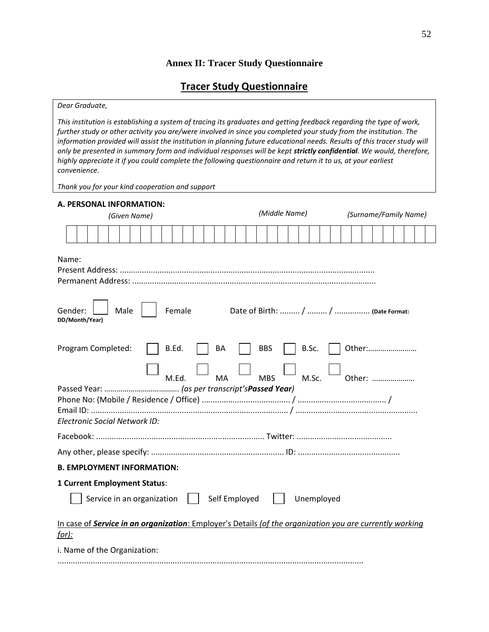## **Annex II: Tracer Study Questionnaire**

## **Tracer Study Questionnaire**

#### *Dear Graduate,*

*This institution is establishing a system of tracing its graduates and getting feedback regarding the type of work, further study or other activity you are/were involved in since you completed your study from the institution. The information provided will assist the institution in planning future educational needs. Results of this tracer study will only be presented in summary form and individual responses will be kept strictly confidential. We would, therefore, highly appreciate it if you could complete the following questionnaire and return it to us, at your earliest convenience.* 

*Thank you for your kind cooperation and support* 

| A. PERSONAL INFORMATION:                                                                                          |                                            |                       |
|-------------------------------------------------------------------------------------------------------------------|--------------------------------------------|-----------------------|
| (Given Name)                                                                                                      | (Middle Name)                              | (Surname/Family Name) |
|                                                                                                                   |                                            |                       |
| Name:                                                                                                             |                                            |                       |
| Gender:<br>Male<br>Female<br>DD/Month/Year)                                                                       |                                            |                       |
| Program Completed:<br>B.Ed.<br>BA<br><b>MA</b><br>M.Ed.                                                           | <b>BBS</b><br>B.Sc.<br><b>MBS</b><br>M.Sc. | Other:<br>Other:      |
| Electronic Social Network ID:                                                                                     |                                            |                       |
|                                                                                                                   |                                            |                       |
|                                                                                                                   |                                            |                       |
| <b>B. EMPLOYMENT INFORMATION:</b>                                                                                 |                                            |                       |
| 1 Current Employment Status:                                                                                      |                                            |                       |
| Self Employed<br>Service in an organization                                                                       | Unemployed                                 |                       |
| In case of Service in an organization: Employer's Details (of the organization you are currently working<br>for): |                                            |                       |
| i. Name of the Organization:                                                                                      |                                            |                       |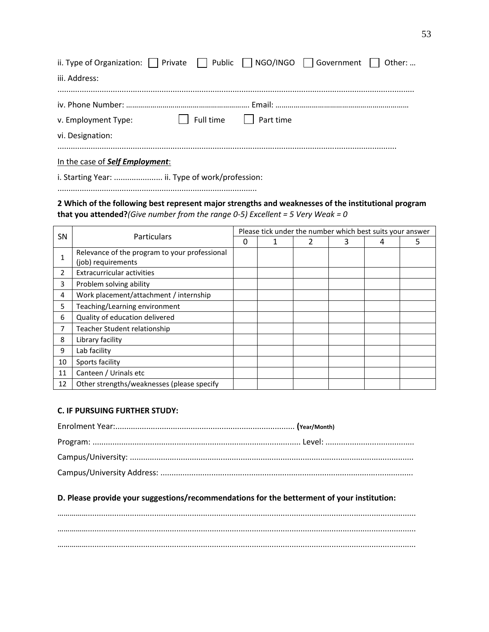| ii. Type of Organization: $\Box$ Private $\Box$ Public $\Box$ NGO/INGO $\Box$ Government $\Box$ Other: |  |                       |  |
|--------------------------------------------------------------------------------------------------------|--|-----------------------|--|
| iii. Address:                                                                                          |  |                       |  |
|                                                                                                        |  |                       |  |
|                                                                                                        |  |                       |  |
| v. Employment Type:                                                                                    |  | Full time   Part time |  |
| vi. Designation:                                                                                       |  |                       |  |
|                                                                                                        |  |                       |  |

In the case of *Self Employment*:

i. Starting Year: ...................... ii. Type of work/profession:

..........................................................................................

**2 Which of the following best represent major strengths and weaknesses of the institutional program that you attended?***(Give number from the range 0-5) Excellent = 5 Very Weak = 0*

|                | <b>Particulars</b>                            | Please tick under the number which best suits your answer |  |  |   |   |   |
|----------------|-----------------------------------------------|-----------------------------------------------------------|--|--|---|---|---|
| SN             |                                               | 0                                                         |  |  | 3 | 4 | 5 |
|                | Relevance of the program to your professional |                                                           |  |  |   |   |   |
|                | (job) requirements                            |                                                           |  |  |   |   |   |
| $\overline{2}$ | <b>Extracurricular activities</b>             |                                                           |  |  |   |   |   |
| 3              | Problem solving ability                       |                                                           |  |  |   |   |   |
| 4              | Work placement/attachment / internship        |                                                           |  |  |   |   |   |
| 5              | Teaching/Learning environment                 |                                                           |  |  |   |   |   |
| 6              | Quality of education delivered                |                                                           |  |  |   |   |   |
| 7              | Teacher Student relationship                  |                                                           |  |  |   |   |   |
| 8              | Library facility                              |                                                           |  |  |   |   |   |
| 9              | Lab facility                                  |                                                           |  |  |   |   |   |
| 10             | Sports facility                               |                                                           |  |  |   |   |   |
| 11             | Canteen / Urinals etc                         |                                                           |  |  |   |   |   |
| 12             | Other strengths/weaknesses (please specify    |                                                           |  |  |   |   |   |

#### **C. IF PURSUING FURTHER STUDY:**

## **D. Please provide your suggestions/recommendations for the betterment of your institution:**

…………….................................................................................................................................................... …………….................................................................................................................................................... ……………....................................................................................................................................................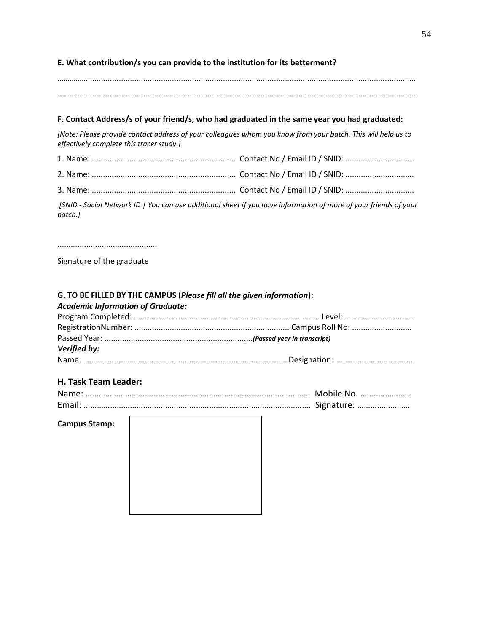## **E. What contribution/s you can provide to the institution for its betterment?**

…………….................................................................................................................................................... ……………....................................................................................................................................................

## **F. Contact Address/s of your friend/s, who had graduated in the same year you had graduated:**

*[Note: Please provide contact address of your colleagues whom you know from your batch. This will help us to effectively complete this tracer study.]*

*[SNID - Social Network ID | You can use additional sheet if you have information of more of your friends of your batch.]*

.............................................

Signature of the graduate

## **G. TO BE FILLED BY THE CAMPUS (***Please fill all the given information***):**

#### *Academic Information of Graduate:*

Г

| Verified by: |  |
|--------------|--|
|              |  |

### **H. Task Team Leader:**

### **Campus Stamp:**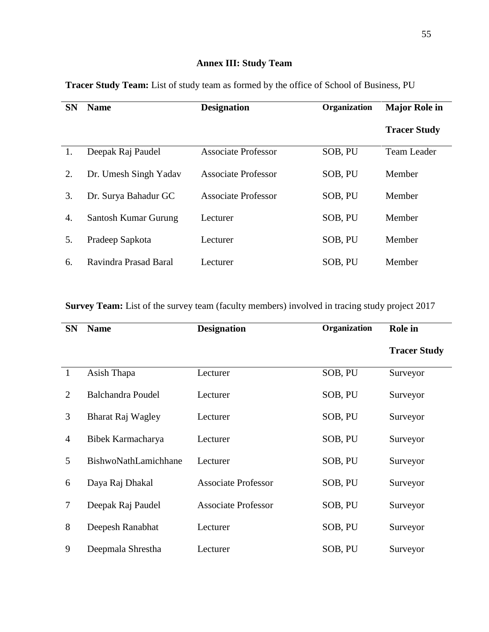# **Annex III: Study Team**

| <b>SN</b> | <b>Name</b>           | <b>Designation</b>         | Organization | <b>Major Role in</b> |
|-----------|-----------------------|----------------------------|--------------|----------------------|
|           |                       |                            |              | <b>Tracer Study</b>  |
| 1.        | Deepak Raj Paudel     | <b>Associate Professor</b> | SOB, PU      | <b>Team Leader</b>   |
| 2.        | Dr. Umesh Singh Yadav | Associate Professor        | SOB, PU      | Member               |
| 3.        | Dr. Surya Bahadur GC  | <b>Associate Professor</b> | SOB, PU      | Member               |
| 4.        | Santosh Kumar Gurung  | Lecturer                   | SOB, PU      | Member               |
| 5.        | Pradeep Sapkota       | Lecturer                   | SOB, PU      | Member               |
| 6.        | Ravindra Prasad Baral | Lecturer                   | SOB, PU      | Member               |

**Tracer Study Team:** List of study team as formed by the office of School of Business, PU

**Survey Team:** List of the survey team (faculty members) involved in tracing study project 2017

| <b>SN</b>      | <b>Name</b>              | <b>Designation</b>         | Organization | <b>Role</b> in      |
|----------------|--------------------------|----------------------------|--------------|---------------------|
|                |                          |                            |              | <b>Tracer Study</b> |
| $\mathbf{1}$   | Asish Thapa              | Lecturer                   | SOB, PU      | Surveyor            |
| $\overline{2}$ | <b>Balchandra Poudel</b> | Lecturer                   | SOB, PU      | Surveyor            |
| 3              | Bharat Raj Wagley        | Lecturer                   | SOB, PU      | Surveyor            |
| 4              | Bibek Karmacharya        | Lecturer                   | SOB, PU      | Surveyor            |
| 5              | BishwoNathLamichhane     | Lecturer                   | SOB, PU      | Surveyor            |
| 6              | Daya Raj Dhakal          | <b>Associate Professor</b> | SOB, PU      | Surveyor            |
| 7              | Deepak Raj Paudel        | <b>Associate Professor</b> | SOB, PU      | Surveyor            |
| 8              | Deepesh Ranabhat         | Lecturer                   | SOB, PU      | Surveyor            |
| 9              | Deepmala Shrestha        | Lecturer                   | SOB, PU      | Surveyor            |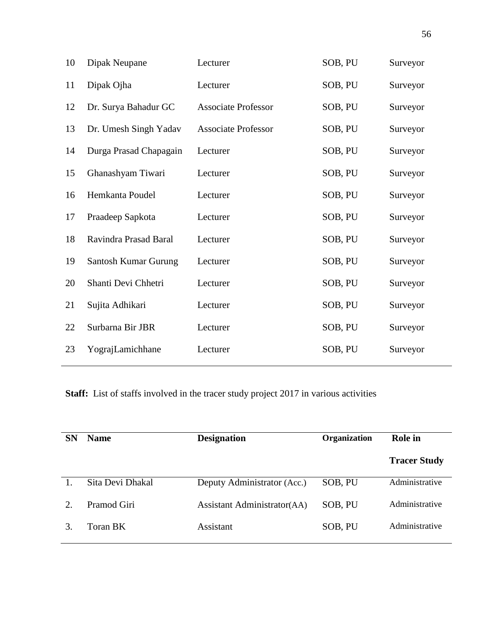| 10 | Dipak Neupane          | Lecturer                   | SOB, PU | Surveyor |
|----|------------------------|----------------------------|---------|----------|
| 11 | Dipak Ojha             | Lecturer                   | SOB, PU | Surveyor |
| 12 | Dr. Surya Bahadur GC   | <b>Associate Professor</b> | SOB, PU | Surveyor |
| 13 | Dr. Umesh Singh Yadav  | <b>Associate Professor</b> | SOB, PU | Surveyor |
| 14 | Durga Prasad Chapagain | Lecturer                   | SOB, PU | Surveyor |
| 15 | Ghanashyam Tiwari      | Lecturer                   | SOB, PU | Surveyor |
| 16 | Hemkanta Poudel        | Lecturer                   | SOB, PU | Surveyor |
| 17 | Praadeep Sapkota       | Lecturer                   | SOB, PU | Surveyor |
| 18 | Ravindra Prasad Baral  | Lecturer                   | SOB, PU | Surveyor |
| 19 | Santosh Kumar Gurung   | Lecturer                   | SOB, PU | Surveyor |
| 20 | Shanti Devi Chhetri    | Lecturer                   | SOB, PU | Surveyor |
| 21 | Sujita Adhikari        | Lecturer                   | SOB, PU | Surveyor |
| 22 | Surbarna Bir JBR       | Lecturer                   | SOB, PU | Surveyor |
| 23 | YograjLamichhane       | Lecturer                   | SOB, PU | Surveyor |
|    |                        |                            |         |          |

**Staff:** List of staffs involved in the tracer study project 2017 in various activities

| <b>SN</b>             | <b>Name</b>      | <b>Designation</b>          | <b>Organization</b> | Role in             |
|-----------------------|------------------|-----------------------------|---------------------|---------------------|
|                       |                  |                             |                     | <b>Tracer Study</b> |
|                       | Sita Devi Dhakal | Deputy Administrator (Acc.) | SOB, PU             | Administrative      |
| $\mathcal{D}_{\cdot}$ | Pramod Giri      | Assistant Administrator(AA) | SOB, PU             | Administrative      |
| 3.                    | Toran BK         | Assistant                   | SOB, PU             | Administrative      |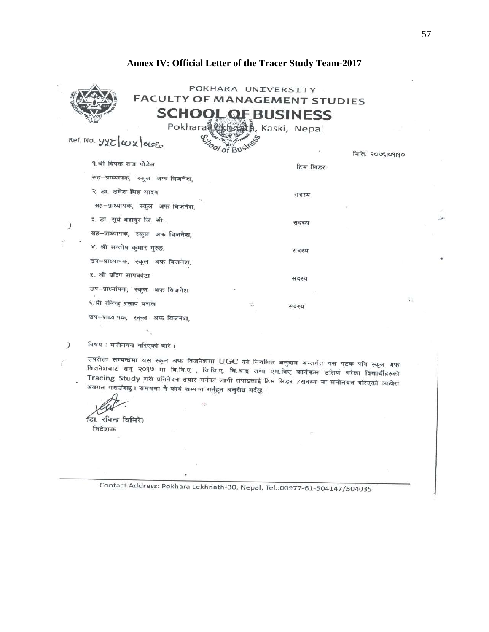## **Annex IV: Official Letter of the Tracer Study Team-2017**

|                                                                | POKHARA UNIVERSITY<br><b>FACULTY OF MANAGEMENT STUDIES</b> |
|----------------------------------------------------------------|------------------------------------------------------------|
|                                                                | <b>SCHOOL OF BUSINESS</b>                                  |
| Ref. No. 475 act 00E                                           | Pokhara Lesbsah, Kaski, Nepal                              |
|                                                                | मितिः २०७६109190                                           |
| १.श्री दिपक राज पौडेल<br>सह-प्राध्यापक, स्कूल अफ बिजनेश.       | टिम लिडर                                                   |
| २. डा. उमेश सिंह यादव                                          | सदस्य                                                      |
| सह-प्राध्यापक, स्कुल अफ बिजनेश,<br>३. डा. सूर्य बहादुर जि. सी. |                                                            |
| सह-प्राध्यापक, स्कुल अफ बिजनेश,                                | सदस्य                                                      |
| ४. श्री सन्तोष कुमार गुरुङ.                                    | सदस्य                                                      |
| उप-प्राध्यापक, स्कूल अफ बिजनेश,<br>५. श्री प्रदिप सापकोटा      | सदस्य                                                      |
| उप-प्राध्यांपक, स्कूल अफ बिजनेश                                | 锁                                                          |
| ६.श्री रविन्द्र प्रसाद बराल                                    | 谎<br>सदस्य                                                 |
| उप-प्राध्यापक, स्कुल अफ बिजनेश,                                |                                                            |
| विषय : मनोनयन गरिएको बारे ।                                    |                                                            |

उपरोक्त सम्बन्धमा यस स्कूल अफ विजनेशमा UGC को नियमित अनुदान अन्तर्गत यस पटक पनि स्कुल अफ Tracing Study गरी प्रतिवेदन तयार गर्नका लागी तपाइलाई टिम लिडर ∕सदस्य मा मनोनयन गरिएको व्यहोरा<br>अनगत समाउँहर । सामा प्रतिवेदन तयार गर्नका लागी तपाइलाई टिम लिडर ∕सदस्य मा मनोनयन गरिएको व्यहोरा अवगत गराउँदछ । समयमा नै कार्य सम्पन्न गर्नुहुन अनुरोध गर्दछ ।

Ĭ.

हिा. रविन्द्र धिमिरे) निर्देशक

Contact Address: Pokhara Lekhnath-30, Nepal, Tel.:00977-61-504147/504035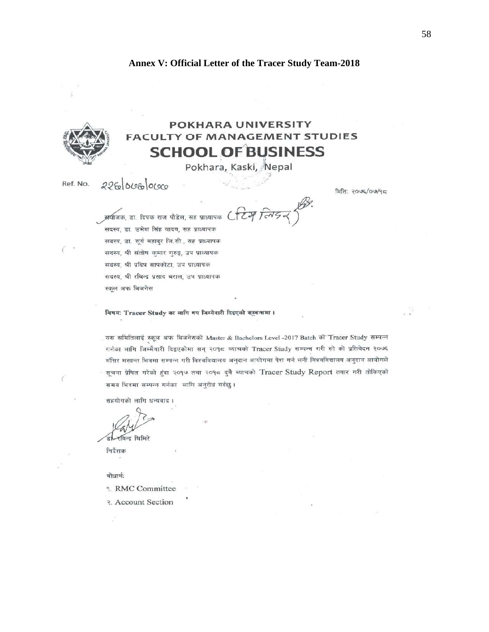## **Annex V: Official Letter of the Tracer Study Team-2018**



# **POKHARA UNIVERSITY FACULTY OF MANAGEMENT STUDIES SCHOOL OF BUSINESS**

Pokhara, Kaski, Nepal

 $226000600000$ Ref. No.

मिलि: २०७६/०७/१८

 $CTZP$ अंयीजक, डा. दिपक राज पौडेल, सह प्राध्यापक सदस्य, डा. उमेश सिंह यादव, सह प्राध्यापक सदस्य, डा. सूर्य बहादर जि.सी., सह प्राध्यापक सदस्य, श्री संतोष कुमार गुरुङ्ग, उप प्राध्यापक सदस्य, श्री प्रदिप्त सापकोटा, उप प्राध्यापक सदस्य, श्री रबिन्द्र प्रसाद बराल, उप प्राध्यापक स्कल अफ बिजनेस

बिषय: Tracer Study का लागि थप जिम्मेवारी दिइएको सम्बन्धमा।

यस समितिलाई स्कूल अफ बिजनेसको Master & Bachelors Level -2017 Batch को Tracer Study सम्पन्न गर्नका लागि जिम्मैवारी दिइएकोमा सन् २०१८ व्याचको Tracer Study सम्पन्न गरी सो को प्रतिवेदन २०७६ मंसिर मसान्त भित्रमा सम्पन्न गरी विश्वविद्यालय अनुदान आयोगमा पेश गर्न भनी विश्वविद्यालय अनुदान आयोगले सूचना प्रेषित गरेको हुंदा २०१७ तथा २०१८ दुवै ब्याचको Tracer Study Report तयार गरी तोकिएको समय भित्रमा सम्पन्न गर्नका लागि अनुरोध गर्दछु।

सहयोगको लागि धन्यवाद।

रविन्द्र धिमिरे

निर्देशक

बोधार्थः

9. RMC Committee

२. Account Section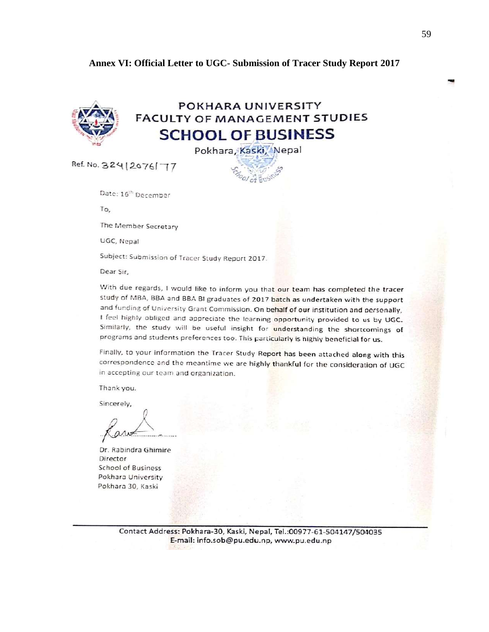## Annex VI: Official Letter to UGC- Submission of Tracer Study Report 2017



## POKHARA UNIVERSITY **FACULTY OF MANAGEMENT STUDIES SCHOOL OF BUSINESS**

Pokhara, Kaski, Nepal

Ref. No. 324 | 2076 | 77

Date: 16<sup>th</sup> December

To.

The Member Secretary

UGC, Nepal

Subject: Submission of Tracer Study Report 2017.

Dear Sir,

With due regards, I would like to inform you that our team has completed the tracer study of MBA, BBA and BBA BI graduates of 2017 batch as undertaken with the support and funding of University Grant Commission. On behalf of our institution and personally, I feel highly obliged and appreciate the learning opportunity provided to us by UGC. Similarly, the study will be useful insight for understanding the shortcomings of programs and students preferences too. This particularly is highly beneficial for us.

Finally, to your information the Tracer Study Report has been attached along with this correspondence and the meantime we are highly thankful for the consideration of UGC in accepting our team and organization.

Thank you.

Sincerely,

Dr. Rabindra Ghimire Director **School of Business** Pokhara University Pokhara 30, Kaski

Contact Address: Pokhara-30, Kaski, Nepal, Tel.:00977-61-504147/504035 E-mail: info.sob@pu.edu.np, www.pu.edu.np